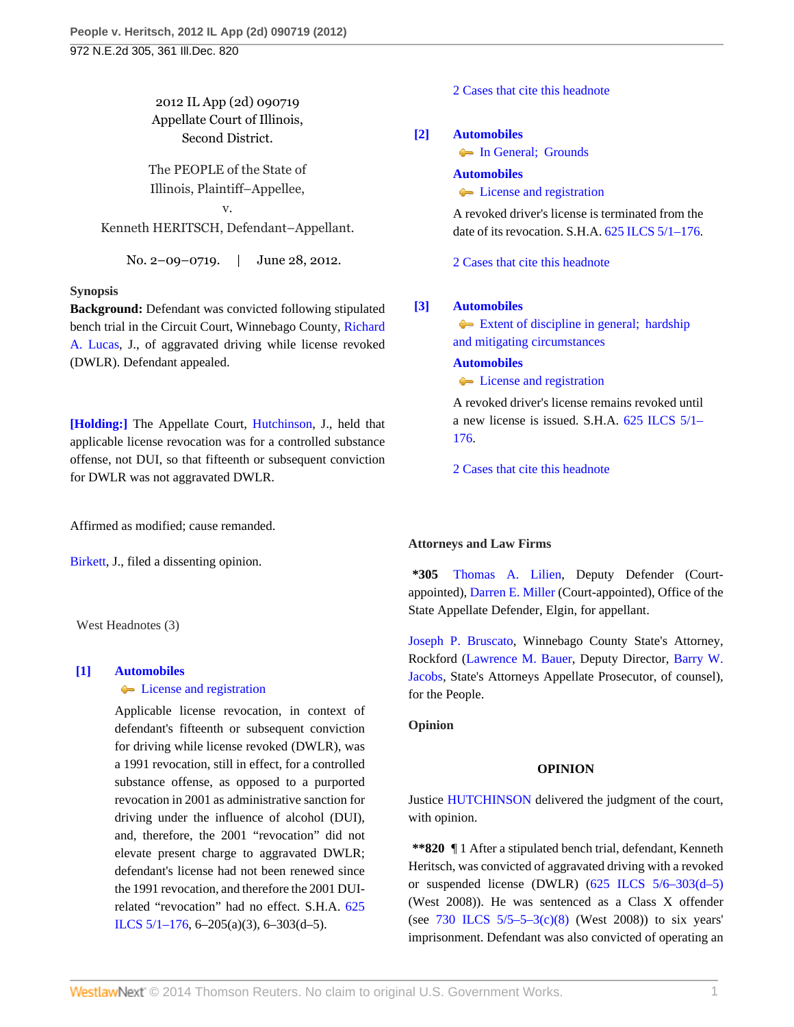2012 IL App (2d) 090719 Appellate Court of Illinois, Second District.

The PEOPLE of the State of Illinois, Plaintiff–Appellee,

v. Kenneth HERITSCH, Defendant–Appellant.

No. 2–09–0719. | June 28, 2012.

# **Synopsis**

**Background:** Defendant was convicted following stipulated bench trial in the Circuit Court, Winnebago County, [Richard](http://www.westlaw.com/Link/Document/FullText?findType=h&pubNum=176284&cite=0151841501&originatingDoc=Ic41d5236c29f11e1b60ab297d3d07bc5&refType=RQ&originationContext=document&vr=3.0&rs=cblt1.0&transitionType=DocumentItem&contextData=(sc.Search)) [A. Lucas,](http://www.westlaw.com/Link/Document/FullText?findType=h&pubNum=176284&cite=0151841501&originatingDoc=Ic41d5236c29f11e1b60ab297d3d07bc5&refType=RQ&originationContext=document&vr=3.0&rs=cblt1.0&transitionType=DocumentItem&contextData=(sc.Search)) J., of aggravated driving while license revoked (DWLR). Defendant appealed.

**[\[Holding:\]](#page-0-0)** The Appellate Court, [Hutchinson,](http://www.westlaw.com/Link/Document/FullText?findType=h&pubNum=176284&cite=0252152101&originatingDoc=Ic41d5236c29f11e1b60ab297d3d07bc5&refType=RQ&originationContext=document&vr=3.0&rs=cblt1.0&transitionType=DocumentItem&contextData=(sc.Search)) J., held that applicable license revocation was for a controlled substance offense, not DUI, so that fifteenth or subsequent conviction for DWLR was not aggravated DWLR.

Affirmed as modified; cause remanded.

[Birkett,](http://www.westlaw.com/Link/Document/FullText?findType=h&pubNum=176284&cite=0124634501&originatingDoc=Ic41d5236c29f11e1b60ab297d3d07bc5&refType=RQ&originationContext=document&vr=3.0&rs=cblt1.0&transitionType=DocumentItem&contextData=(sc.Search)) J., filed a dissenting opinion.

West Headnotes (3)

# <span id="page-0-0"></span>**[\[1\]](#page-1-0) [Automobiles](http://www.westlaw.com/Browse/Home/KeyNumber/48A/View.html?docGuid=Ic41d5236c29f11e1b60ab297d3d07bc5&originationContext=document&vr=3.0&rs=cblt1.0&transitionType=DocumentItem&contextData=(sc.Search))**

# **C** [License and registration](http://www.westlaw.com/Browse/Home/KeyNumber/48Ak326/View.html?docGuid=Ic41d5236c29f11e1b60ab297d3d07bc5&originationContext=document&vr=3.0&rs=cblt1.0&transitionType=DocumentItem&contextData=(sc.Search))

Applicable license revocation, in context of defendant's fifteenth or subsequent conviction for driving while license revoked (DWLR), was a 1991 revocation, still in effect, for a controlled substance offense, as opposed to a purported revocation in 2001 as administrative sanction for driving under the influence of alcohol (DUI), and, therefore, the 2001 "revocation" did not elevate present charge to aggravated DWLR; defendant's license had not been renewed since the 1991 revocation, and therefore the 2001 DUIrelated "revocation" had no effect. S.H.A. [625](http://www.westlaw.com/Link/Document/FullText?findType=L&pubNum=1000008&cite=IL625S5%2f1-176&originatingDoc=Ic41d5236c29f11e1b60ab297d3d07bc5&refType=LQ&originationContext=document&vr=3.0&rs=cblt1.0&transitionType=DocumentItem&contextData=(sc.Search)) [ILCS 5/1–176](http://www.westlaw.com/Link/Document/FullText?findType=L&pubNum=1000008&cite=IL625S5%2f1-176&originatingDoc=Ic41d5236c29f11e1b60ab297d3d07bc5&refType=LQ&originationContext=document&vr=3.0&rs=cblt1.0&transitionType=DocumentItem&contextData=(sc.Search)), 6–205(a)(3), 6–303(d–5).

[2 Cases that cite this headnote](http://www.westlaw.com/Link/RelatedInformation/DocHeadnoteLink?docGuid=Ic41d5236c29f11e1b60ab297d3d07bc5&headnoteId=202807556200120121204172647&originationContext=document&vr=3.0&rs=cblt1.0&transitionType=CitingReferences&contextData=(sc.Search))

## <span id="page-0-1"></span>**[\[2\]](#page-2-0) [Automobiles](http://www.westlaw.com/Browse/Home/KeyNumber/48A/View.html?docGuid=Ic41d5236c29f11e1b60ab297d3d07bc5&originationContext=document&vr=3.0&rs=cblt1.0&transitionType=DocumentItem&contextData=(sc.Search))**

• In General: Grounds

### **[Automobiles](http://www.westlaw.com/Browse/Home/KeyNumber/48A/View.html?docGuid=Ic41d5236c29f11e1b60ab297d3d07bc5&originationContext=document&vr=3.0&rs=cblt1.0&transitionType=DocumentItem&contextData=(sc.Search))**

**[License and registration](http://www.westlaw.com/Browse/Home/KeyNumber/48Ak326/View.html?docGuid=Ic41d5236c29f11e1b60ab297d3d07bc5&originationContext=document&vr=3.0&rs=cblt1.0&transitionType=DocumentItem&contextData=(sc.Search))** 

A revoked driver's license is terminated from the date of its revocation. S.H.A. [625 ILCS 5/1–176](http://www.westlaw.com/Link/Document/FullText?findType=L&pubNum=1000008&cite=IL625S5%2f1-176&originatingDoc=Ic41d5236c29f11e1b60ab297d3d07bc5&refType=LQ&originationContext=document&vr=3.0&rs=cblt1.0&transitionType=DocumentItem&contextData=(sc.Search)).

[2 Cases that cite this headnote](http://www.westlaw.com/Link/RelatedInformation/DocHeadnoteLink?docGuid=Ic41d5236c29f11e1b60ab297d3d07bc5&headnoteId=202807556200220121204172647&originationContext=document&vr=3.0&rs=cblt1.0&transitionType=CitingReferences&contextData=(sc.Search))

## <span id="page-0-2"></span>**[\[3\]](#page-2-1) [Automobiles](http://www.westlaw.com/Browse/Home/KeyNumber/48A/View.html?docGuid=Ic41d5236c29f11e1b60ab297d3d07bc5&originationContext=document&vr=3.0&rs=cblt1.0&transitionType=DocumentItem&contextData=(sc.Search))**

[Extent of discipline in general; hardship](http://www.westlaw.com/Browse/Home/KeyNumber/48Ak144.5/View.html?docGuid=Ic41d5236c29f11e1b60ab297d3d07bc5&originationContext=document&vr=3.0&rs=cblt1.0&transitionType=DocumentItem&contextData=(sc.Search)) [and mitigating circumstances](http://www.westlaw.com/Browse/Home/KeyNumber/48Ak144.5/View.html?docGuid=Ic41d5236c29f11e1b60ab297d3d07bc5&originationContext=document&vr=3.0&rs=cblt1.0&transitionType=DocumentItem&contextData=(sc.Search))

**[Automobiles](http://www.westlaw.com/Browse/Home/KeyNumber/48A/View.html?docGuid=Ic41d5236c29f11e1b60ab297d3d07bc5&originationContext=document&vr=3.0&rs=cblt1.0&transitionType=DocumentItem&contextData=(sc.Search))**

## **[License and registration](http://www.westlaw.com/Browse/Home/KeyNumber/48Ak326/View.html?docGuid=Ic41d5236c29f11e1b60ab297d3d07bc5&originationContext=document&vr=3.0&rs=cblt1.0&transitionType=DocumentItem&contextData=(sc.Search))**

A revoked driver's license remains revoked until a new license is issued. S.H.A. [625 ILCS 5/1–](http://www.westlaw.com/Link/Document/FullText?findType=L&pubNum=1000008&cite=IL625S5%2f1-176&originatingDoc=Ic41d5236c29f11e1b60ab297d3d07bc5&refType=LQ&originationContext=document&vr=3.0&rs=cblt1.0&transitionType=DocumentItem&contextData=(sc.Search)) [176](http://www.westlaw.com/Link/Document/FullText?findType=L&pubNum=1000008&cite=IL625S5%2f1-176&originatingDoc=Ic41d5236c29f11e1b60ab297d3d07bc5&refType=LQ&originationContext=document&vr=3.0&rs=cblt1.0&transitionType=DocumentItem&contextData=(sc.Search)).

[2 Cases that cite this headnote](http://www.westlaw.com/Link/RelatedInformation/DocHeadnoteLink?docGuid=Ic41d5236c29f11e1b60ab297d3d07bc5&headnoteId=202807556200320121204172647&originationContext=document&vr=3.0&rs=cblt1.0&transitionType=CitingReferences&contextData=(sc.Search))

### **Attorneys and Law Firms**

**\*305** [Thomas A. Lilien](http://www.westlaw.com/Link/Document/FullText?findType=h&pubNum=176284&cite=0113023701&originatingDoc=Ic41d5236c29f11e1b60ab297d3d07bc5&refType=RQ&originationContext=document&vr=3.0&rs=cblt1.0&transitionType=DocumentItem&contextData=(sc.Search)), Deputy Defender (Courtappointed), [Darren E. Miller](http://www.westlaw.com/Link/Document/FullText?findType=h&pubNum=176284&cite=0199204001&originatingDoc=Ic41d5236c29f11e1b60ab297d3d07bc5&refType=RQ&originationContext=document&vr=3.0&rs=cblt1.0&transitionType=DocumentItem&contextData=(sc.Search)) (Court-appointed), Office of the State Appellate Defender, Elgin, for appellant.

[Joseph P. Bruscato,](http://www.westlaw.com/Link/Document/FullText?findType=h&pubNum=176284&cite=0278588401&originatingDoc=Ic41d5236c29f11e1b60ab297d3d07bc5&refType=RQ&originationContext=document&vr=3.0&rs=cblt1.0&transitionType=DocumentItem&contextData=(sc.Search)) Winnebago County State's Attorney, Rockford ([Lawrence M. Bauer](http://www.westlaw.com/Link/Document/FullText?findType=h&pubNum=176284&cite=0182654301&originatingDoc=Ic41d5236c29f11e1b60ab297d3d07bc5&refType=RQ&originationContext=document&vr=3.0&rs=cblt1.0&transitionType=DocumentItem&contextData=(sc.Search)), Deputy Director, [Barry W.](http://www.westlaw.com/Link/Document/FullText?findType=h&pubNum=176284&cite=0280026201&originatingDoc=Ic41d5236c29f11e1b60ab297d3d07bc5&refType=RQ&originationContext=document&vr=3.0&rs=cblt1.0&transitionType=DocumentItem&contextData=(sc.Search)) [Jacobs,](http://www.westlaw.com/Link/Document/FullText?findType=h&pubNum=176284&cite=0280026201&originatingDoc=Ic41d5236c29f11e1b60ab297d3d07bc5&refType=RQ&originationContext=document&vr=3.0&rs=cblt1.0&transitionType=DocumentItem&contextData=(sc.Search)) State's Attorneys Appellate Prosecutor, of counsel), for the People.

**Opinion**

# **OPINION**

Justice [HUTCHINSON](http://www.westlaw.com/Link/Document/FullText?findType=h&pubNum=176284&cite=0252152101&originatingDoc=Ic41d5236c29f11e1b60ab297d3d07bc5&refType=RQ&originationContext=document&vr=3.0&rs=cblt1.0&transitionType=DocumentItem&contextData=(sc.Search)) delivered the judgment of the court, with opinion.

**\*\*820** ¶ 1 After a stipulated bench trial, defendant, Kenneth Heritsch, was convicted of aggravated driving with a revoked or suspended license (DWLR) [\(625 ILCS 5/6–303\(d–5\)](http://www.westlaw.com/Link/Document/FullText?findType=L&pubNum=1000008&cite=IL625S5%2f6-303&originatingDoc=Ic41d5236c29f11e1b60ab297d3d07bc5&refType=SP&originationContext=document&vr=3.0&rs=cblt1.0&transitionType=DocumentItem&contextData=(sc.Search)#co_pp_027d000063c96) (West 2008)). He was sentenced as a Class X offender (see  $730$  ILCS  $5/5-5-3(c)(8)$  (West 2008)) to six years' imprisonment. Defendant was also convicted of operating an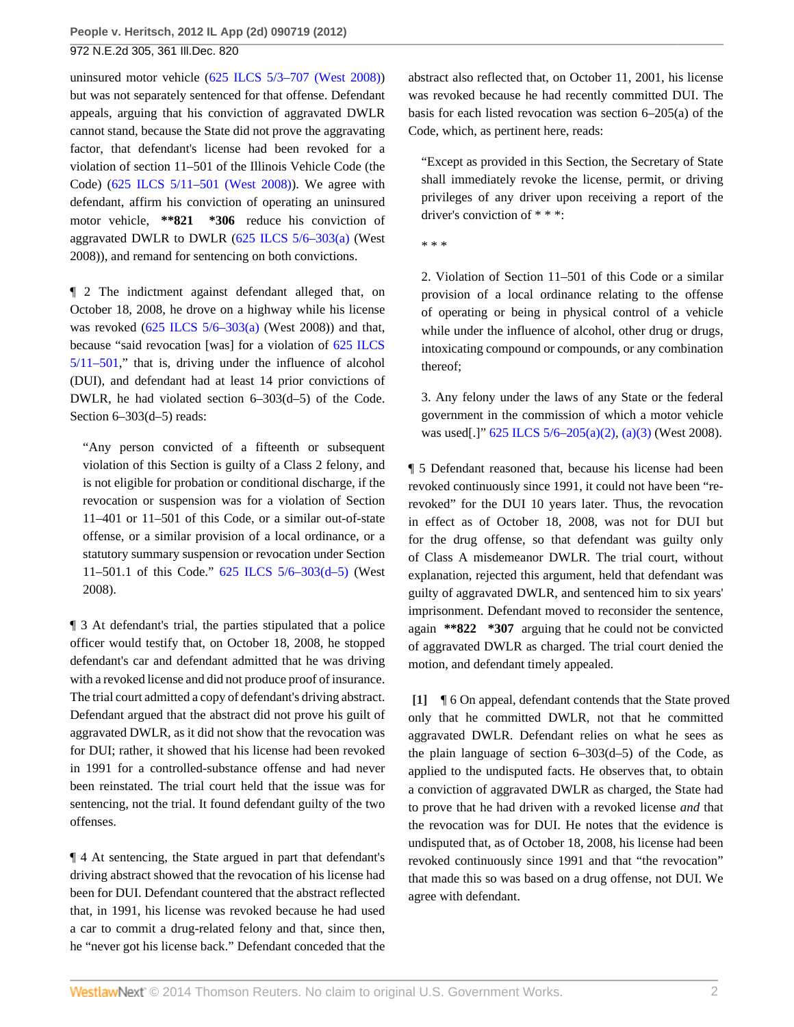uninsured motor vehicle [\(625 ILCS 5/3–707 \(West 2008\)\)](http://www.westlaw.com/Link/Document/FullText?findType=L&pubNum=1000008&cite=IL625S5%2f3-707&originatingDoc=Ic41d5236c29f11e1b60ab297d3d07bc5&refType=LQ&originationContext=document&vr=3.0&rs=cblt1.0&transitionType=DocumentItem&contextData=(sc.Search)) but was not separately sentenced for that offense. Defendant appeals, arguing that his conviction of aggravated DWLR cannot stand, because the State did not prove the aggravating factor, that defendant's license had been revoked for a violation of section 11–501 of the Illinois Vehicle Code (the Code) [\(625 ILCS 5/11–501 \(West 2008\)\)](http://www.westlaw.com/Link/Document/FullText?findType=L&pubNum=1000008&cite=IL625S5%2f11-501&originatingDoc=Ic41d5236c29f11e1b60ab297d3d07bc5&refType=LQ&originationContext=document&vr=3.0&rs=cblt1.0&transitionType=DocumentItem&contextData=(sc.Search)). We agree with defendant, affirm his conviction of operating an uninsured motor vehicle, **\*\*821 \*306** reduce his conviction of aggravated DWLR to DWLR  $(625$  ILCS  $5/6-303(a)$  (West 2008)), and remand for sentencing on both convictions.

¶ 2 The indictment against defendant alleged that, on October 18, 2008, he drove on a highway while his license was revoked [\(625 ILCS 5/6–303\(a\)](http://www.westlaw.com/Link/Document/FullText?findType=L&pubNum=1000008&cite=IL625S5%2f6-303&originatingDoc=Ic41d5236c29f11e1b60ab297d3d07bc5&refType=SP&originationContext=document&vr=3.0&rs=cblt1.0&transitionType=DocumentItem&contextData=(sc.Search)#co_pp_8b3b0000958a4) (West 2008)) and that, because "said revocation [was] for a violation of [625 ILCS](http://www.westlaw.com/Link/Document/FullText?findType=L&pubNum=1000008&cite=IL625S5%2f11-501&originatingDoc=Ic41d5236c29f11e1b60ab297d3d07bc5&refType=LQ&originationContext=document&vr=3.0&rs=cblt1.0&transitionType=DocumentItem&contextData=(sc.Search)) [5/11–501,](http://www.westlaw.com/Link/Document/FullText?findType=L&pubNum=1000008&cite=IL625S5%2f11-501&originatingDoc=Ic41d5236c29f11e1b60ab297d3d07bc5&refType=LQ&originationContext=document&vr=3.0&rs=cblt1.0&transitionType=DocumentItem&contextData=(sc.Search))" that is, driving under the influence of alcohol (DUI), and defendant had at least 14 prior convictions of DWLR, he had violated section 6–303(d–5) of the Code. Section 6–303(d–5) reads:

"Any person convicted of a fifteenth or subsequent violation of this Section is guilty of a Class 2 felony, and is not eligible for probation or conditional discharge, if the revocation or suspension was for a violation of Section 11–401 or 11–501 of this Code, or a similar out-of-state offense, or a similar provision of a local ordinance, or a statutory summary suspension or revocation under Section 11–501.1 of this Code." [625 ILCS 5/6–303\(d–5\)](http://www.westlaw.com/Link/Document/FullText?findType=L&pubNum=1000008&cite=IL625S5%2f6-303&originatingDoc=Ic41d5236c29f11e1b60ab297d3d07bc5&refType=SP&originationContext=document&vr=3.0&rs=cblt1.0&transitionType=DocumentItem&contextData=(sc.Search)#co_pp_027d000063c96) (West 2008).

¶ 3 At defendant's trial, the parties stipulated that a police officer would testify that, on October 18, 2008, he stopped defendant's car and defendant admitted that he was driving with a revoked license and did not produce proof of insurance. The trial court admitted a copy of defendant's driving abstract. Defendant argued that the abstract did not prove his guilt of aggravated DWLR, as it did not show that the revocation was for DUI; rather, it showed that his license had been revoked in 1991 for a controlled-substance offense and had never been reinstated. The trial court held that the issue was for sentencing, not the trial. It found defendant guilty of the two offenses.

¶ 4 At sentencing, the State argued in part that defendant's driving abstract showed that the revocation of his license had been for DUI. Defendant countered that the abstract reflected that, in 1991, his license was revoked because he had used a car to commit a drug-related felony and that, since then, he "never got his license back." Defendant conceded that the

abstract also reflected that, on October 11, 2001, his license was revoked because he had recently committed DUI. The basis for each listed revocation was section 6–205(a) of the Code, which, as pertinent here, reads:

"Except as provided in this Section, the Secretary of State shall immediately revoke the license, permit, or driving privileges of any driver upon receiving a report of the driver's conviction of \* \* \*:

\* \* \*

2. Violation of Section 11–501 of this Code or a similar provision of a local ordinance relating to the offense of operating or being in physical control of a vehicle while under the influence of alcohol, other drug or drugs, intoxicating compound or compounds, or any combination thereof;

3. Any felony under the laws of any State or the federal government in the commission of which a motor vehicle was used[.]" [625 ILCS 5/6–205\(a\)\(2\),](http://www.westlaw.com/Link/Document/FullText?findType=L&pubNum=1000008&cite=IL625S5%2f6-205&originatingDoc=Ic41d5236c29f11e1b60ab297d3d07bc5&refType=SP&originationContext=document&vr=3.0&rs=cblt1.0&transitionType=DocumentItem&contextData=(sc.Search)#co_pp_8b3b0000958a4) [\(a\)\(3\)](http://www.westlaw.com/Link/Document/FullText?findType=L&pubNum=1000008&cite=IL625S5%2f6-205&originatingDoc=Ic41d5236c29f11e1b60ab297d3d07bc5&refType=SP&originationContext=document&vr=3.0&rs=cblt1.0&transitionType=DocumentItem&contextData=(sc.Search)#co_pp_8b3b0000958a4) (West 2008).

¶ 5 Defendant reasoned that, because his license had been revoked continuously since 1991, it could not have been "rerevoked" for the DUI 10 years later. Thus, the revocation in effect as of October 18, 2008, was not for DUI but for the drug offense, so that defendant was guilty only of Class A misdemeanor DWLR. The trial court, without explanation, rejected this argument, held that defendant was guilty of aggravated DWLR, and sentenced him to six years' imprisonment. Defendant moved to reconsider the sentence, again **\*\*822 \*307** arguing that he could not be convicted of aggravated DWLR as charged. The trial court denied the motion, and defendant timely appealed.

<span id="page-1-0"></span>**[\[1\]](#page-0-0)** ¶ 6 On appeal, defendant contends that the State proved only that he committed DWLR, not that he committed aggravated DWLR. Defendant relies on what he sees as the plain language of section  $6-303(d-5)$  of the Code, as applied to the undisputed facts. He observes that, to obtain a conviction of aggravated DWLR as charged, the State had to prove that he had driven with a revoked license *and* that the revocation was for DUI. He notes that the evidence is undisputed that, as of October 18, 2008, his license had been revoked continuously since 1991 and that "the revocation" that made this so was based on a drug offense, not DUI. We agree with defendant.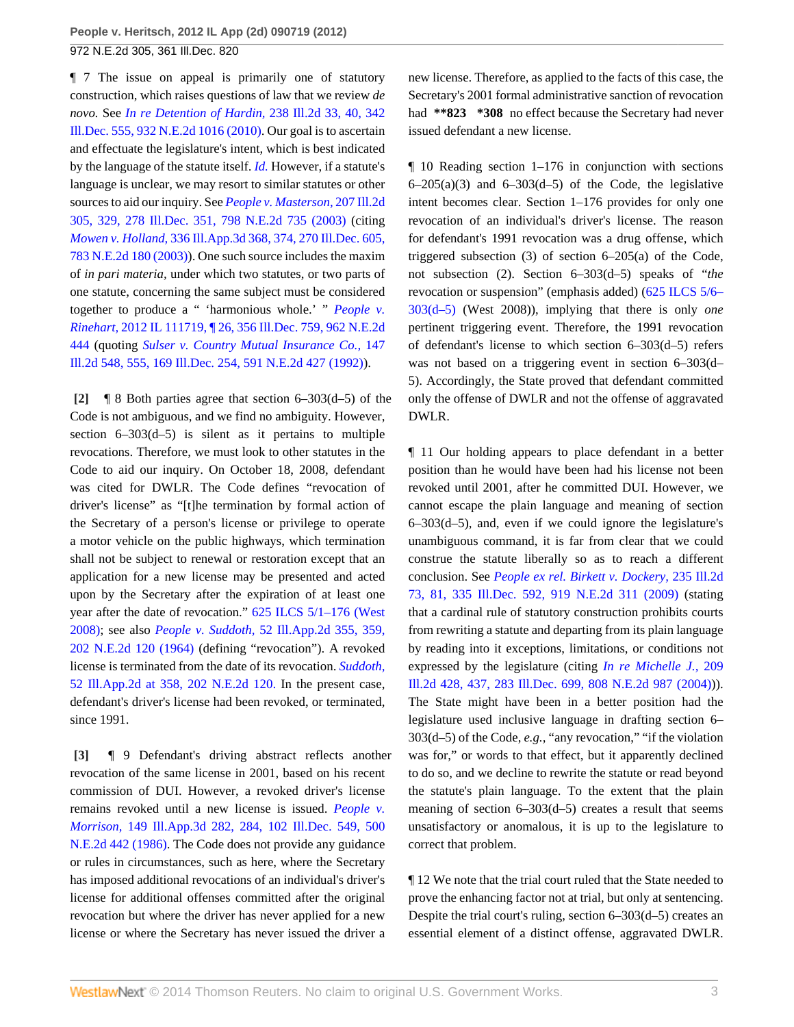¶ 7 The issue on appeal is primarily one of statutory construction, which raises questions of law that we review *de novo.* See *[In re Detention of Hardin,](http://www.westlaw.com/Link/Document/FullText?findType=Y&serNum=2022373090&pubNum=578&originationContext=document&vr=3.0&rs=cblt1.0&transitionType=DocumentItem&contextData=(sc.Search))* 238 Ill.2d 33, 40, 342 [Ill.Dec. 555, 932 N.E.2d 1016 \(2010\).](http://www.westlaw.com/Link/Document/FullText?findType=Y&serNum=2022373090&pubNum=578&originationContext=document&vr=3.0&rs=cblt1.0&transitionType=DocumentItem&contextData=(sc.Search)) Our goal is to ascertain and effectuate the legislature's intent, which is best indicated by the language of the statute itself. *[Id.](http://www.westlaw.com/Link/Document/FullText?findType=Y&serNum=2022373090&originationContext=document&vr=3.0&rs=cblt1.0&transitionType=DocumentItem&contextData=(sc.Search))* However, if a statute's language is unclear, we may resort to similar statutes or other sources to aid our inquiry. See *[People v. Masterson,](http://www.westlaw.com/Link/Document/FullText?findType=Y&serNum=2003668869&pubNum=578&originationContext=document&vr=3.0&rs=cblt1.0&transitionType=DocumentItem&contextData=(sc.Search))* 207 Ill.2d [305, 329, 278 Ill.Dec. 351, 798 N.E.2d 735 \(2003\)](http://www.westlaw.com/Link/Document/FullText?findType=Y&serNum=2003668869&pubNum=578&originationContext=document&vr=3.0&rs=cblt1.0&transitionType=DocumentItem&contextData=(sc.Search)) (citing *Mowen v. Holland,* [336 Ill.App.3d 368, 374, 270 Ill.Dec. 605,](http://www.westlaw.com/Link/Document/FullText?findType=Y&serNum=2003089780&pubNum=578&originationContext=document&vr=3.0&rs=cblt1.0&transitionType=DocumentItem&contextData=(sc.Search)) [783 N.E.2d 180 \(2003\)\)](http://www.westlaw.com/Link/Document/FullText?findType=Y&serNum=2003089780&pubNum=578&originationContext=document&vr=3.0&rs=cblt1.0&transitionType=DocumentItem&contextData=(sc.Search)). One such source includes the maxim of *in pari materia,* under which two statutes, or two parts of one statute, concerning the same subject must be considered together to produce a " 'harmonious whole.' " *[People v.](http://www.westlaw.com/Link/Document/FullText?findType=Y&serNum=2026901392&pubNum=578&originationContext=document&vr=3.0&rs=cblt1.0&transitionType=DocumentItem&contextData=(sc.Search)) Rinehart,* [2012 IL 111719, ¶ 26, 356 Ill.Dec. 759, 962 N.E.2d](http://www.westlaw.com/Link/Document/FullText?findType=Y&serNum=2026901392&pubNum=578&originationContext=document&vr=3.0&rs=cblt1.0&transitionType=DocumentItem&contextData=(sc.Search)) [444](http://www.westlaw.com/Link/Document/FullText?findType=Y&serNum=2026901392&pubNum=578&originationContext=document&vr=3.0&rs=cblt1.0&transitionType=DocumentItem&contextData=(sc.Search)) (quoting *[Sulser v. Country Mutual Insurance Co.,](http://www.westlaw.com/Link/Document/FullText?findType=Y&serNum=1992044811&pubNum=578&originationContext=document&vr=3.0&rs=cblt1.0&transitionType=DocumentItem&contextData=(sc.Search))* 147 [Ill.2d 548, 555, 169 Ill.Dec. 254, 591 N.E.2d 427 \(1992\)](http://www.westlaw.com/Link/Document/FullText?findType=Y&serNum=1992044811&pubNum=578&originationContext=document&vr=3.0&rs=cblt1.0&transitionType=DocumentItem&contextData=(sc.Search))).

<span id="page-2-0"></span>**[\[2\]](#page-0-1)** ¶ 8 Both parties agree that section 6–303(d–5) of the Code is not ambiguous, and we find no ambiguity. However, section  $6-303(d-5)$  is silent as it pertains to multiple revocations. Therefore, we must look to other statutes in the Code to aid our inquiry. On October 18, 2008, defendant was cited for DWLR. The Code defines "revocation of driver's license" as "[t]he termination by formal action of the Secretary of a person's license or privilege to operate a motor vehicle on the public highways, which termination shall not be subject to renewal or restoration except that an application for a new license may be presented and acted upon by the Secretary after the expiration of at least one year after the date of revocation." [625 ILCS 5/1–176 \(West](http://www.westlaw.com/Link/Document/FullText?findType=L&pubNum=1000008&cite=IL625S5%2f1-176&originatingDoc=Ic41d5236c29f11e1b60ab297d3d07bc5&refType=LQ&originationContext=document&vr=3.0&rs=cblt1.0&transitionType=DocumentItem&contextData=(sc.Search)) [2008\)](http://www.westlaw.com/Link/Document/FullText?findType=L&pubNum=1000008&cite=IL625S5%2f1-176&originatingDoc=Ic41d5236c29f11e1b60ab297d3d07bc5&refType=LQ&originationContext=document&vr=3.0&rs=cblt1.0&transitionType=DocumentItem&contextData=(sc.Search)); see also *People v. Suddoth,* [52 Ill.App.2d 355, 359,](http://www.westlaw.com/Link/Document/FullText?findType=Y&serNum=1964117763&pubNum=578&originationContext=document&vr=3.0&rs=cblt1.0&transitionType=DocumentItem&contextData=(sc.Search)) [202 N.E.2d 120 \(1964\)](http://www.westlaw.com/Link/Document/FullText?findType=Y&serNum=1964117763&pubNum=578&originationContext=document&vr=3.0&rs=cblt1.0&transitionType=DocumentItem&contextData=(sc.Search)) (defining "revocation"). A revoked license is terminated from the date of its revocation. *[Suddoth,](http://www.westlaw.com/Link/Document/FullText?findType=Y&serNum=1964117763&pubNum=578&originationContext=document&vr=3.0&rs=cblt1.0&transitionType=DocumentItem&contextData=(sc.Search))* [52 Ill.App.2d at 358, 202 N.E.2d 120.](http://www.westlaw.com/Link/Document/FullText?findType=Y&serNum=1964117763&pubNum=578&originationContext=document&vr=3.0&rs=cblt1.0&transitionType=DocumentItem&contextData=(sc.Search)) In the present case, defendant's driver's license had been revoked, or terminated, since 1991.

<span id="page-2-1"></span>**[\[3\]](#page-0-2)** ¶ 9 Defendant's driving abstract reflects another revocation of the same license in 2001, based on his recent commission of DUI. However, a revoked driver's license remains revoked until a new license is issued. *[People v.](http://www.westlaw.com/Link/Document/FullText?findType=Y&serNum=1986156780&pubNum=578&originationContext=document&vr=3.0&rs=cblt1.0&transitionType=DocumentItem&contextData=(sc.Search)) Morrison,* [149 Ill.App.3d 282, 284, 102 Ill.Dec. 549, 500](http://www.westlaw.com/Link/Document/FullText?findType=Y&serNum=1986156780&pubNum=578&originationContext=document&vr=3.0&rs=cblt1.0&transitionType=DocumentItem&contextData=(sc.Search)) [N.E.2d 442 \(1986\).](http://www.westlaw.com/Link/Document/FullText?findType=Y&serNum=1986156780&pubNum=578&originationContext=document&vr=3.0&rs=cblt1.0&transitionType=DocumentItem&contextData=(sc.Search)) The Code does not provide any guidance or rules in circumstances, such as here, where the Secretary has imposed additional revocations of an individual's driver's license for additional offenses committed after the original revocation but where the driver has never applied for a new license or where the Secretary has never issued the driver a

new license. Therefore, as applied to the facts of this case, the Secretary's 2001 formal administrative sanction of revocation had **\*\*823 \*308** no effect because the Secretary had never issued defendant a new license.

 $\P$  10 Reading section 1–176 in conjunction with sections  $6-205(a)(3)$  and  $6-303(d-5)$  of the Code, the legislative intent becomes clear. Section 1–176 provides for only one revocation of an individual's driver's license. The reason for defendant's 1991 revocation was a drug offense, which triggered subsection (3) of section 6–205(a) of the Code, not subsection (2). Section 6–303(d–5) speaks of "*the* revocation or suspension" (emphasis added) [\(625 ILCS 5/6–](http://www.westlaw.com/Link/Document/FullText?findType=L&pubNum=1000008&cite=IL625S5%2f6-303&originatingDoc=Ic41d5236c29f11e1b60ab297d3d07bc5&refType=SP&originationContext=document&vr=3.0&rs=cblt1.0&transitionType=DocumentItem&contextData=(sc.Search)#co_pp_027d000063c96) [303\(d–5\)](http://www.westlaw.com/Link/Document/FullText?findType=L&pubNum=1000008&cite=IL625S5%2f6-303&originatingDoc=Ic41d5236c29f11e1b60ab297d3d07bc5&refType=SP&originationContext=document&vr=3.0&rs=cblt1.0&transitionType=DocumentItem&contextData=(sc.Search)#co_pp_027d000063c96) (West 2008)), implying that there is only *one* pertinent triggering event. Therefore, the 1991 revocation of defendant's license to which section 6–303(d–5) refers was not based on a triggering event in section 6–303(d– 5). Accordingly, the State proved that defendant committed only the offense of DWLR and not the offense of aggravated DWLR.

¶ 11 Our holding appears to place defendant in a better position than he would have been had his license not been revoked until 2001, after he committed DUI. However, we cannot escape the plain language and meaning of section 6–303(d–5), and, even if we could ignore the legislature's unambiguous command, it is far from clear that we could construe the statute liberally so as to reach a different conclusion. See *[People ex rel. Birkett v. Dockery,](http://www.westlaw.com/Link/Document/FullText?findType=Y&serNum=2019982988&pubNum=578&originationContext=document&vr=3.0&rs=cblt1.0&transitionType=DocumentItem&contextData=(sc.Search))* 235 Ill.2d [73, 81, 335 Ill.Dec. 592, 919 N.E.2d 311 \(2009\)](http://www.westlaw.com/Link/Document/FullText?findType=Y&serNum=2019982988&pubNum=578&originationContext=document&vr=3.0&rs=cblt1.0&transitionType=DocumentItem&contextData=(sc.Search)) (stating that a cardinal rule of statutory construction prohibits courts from rewriting a statute and departing from its plain language by reading into it exceptions, limitations, or conditions not expressed by the legislature (citing *[In re Michelle J.,](http://www.westlaw.com/Link/Document/FullText?findType=Y&serNum=2004282681&pubNum=578&originationContext=document&vr=3.0&rs=cblt1.0&transitionType=DocumentItem&contextData=(sc.Search))* 209 [Ill.2d 428, 437, 283 Ill.Dec. 699, 808 N.E.2d 987 \(2004\)\)](http://www.westlaw.com/Link/Document/FullText?findType=Y&serNum=2004282681&pubNum=578&originationContext=document&vr=3.0&rs=cblt1.0&transitionType=DocumentItem&contextData=(sc.Search))). The State might have been in a better position had the legislature used inclusive language in drafting section 6– 303(d–5) of the Code, *e.g.,* "any revocation," "if the violation was for," or words to that effect, but it apparently declined to do so, and we decline to rewrite the statute or read beyond the statute's plain language. To the extent that the plain meaning of section 6–303(d–5) creates a result that seems unsatisfactory or anomalous, it is up to the legislature to correct that problem.

¶ 12 We note that the trial court ruled that the State needed to prove the enhancing factor not at trial, but only at sentencing. Despite the trial court's ruling, section 6–303(d–5) creates an essential element of a distinct offense, aggravated DWLR.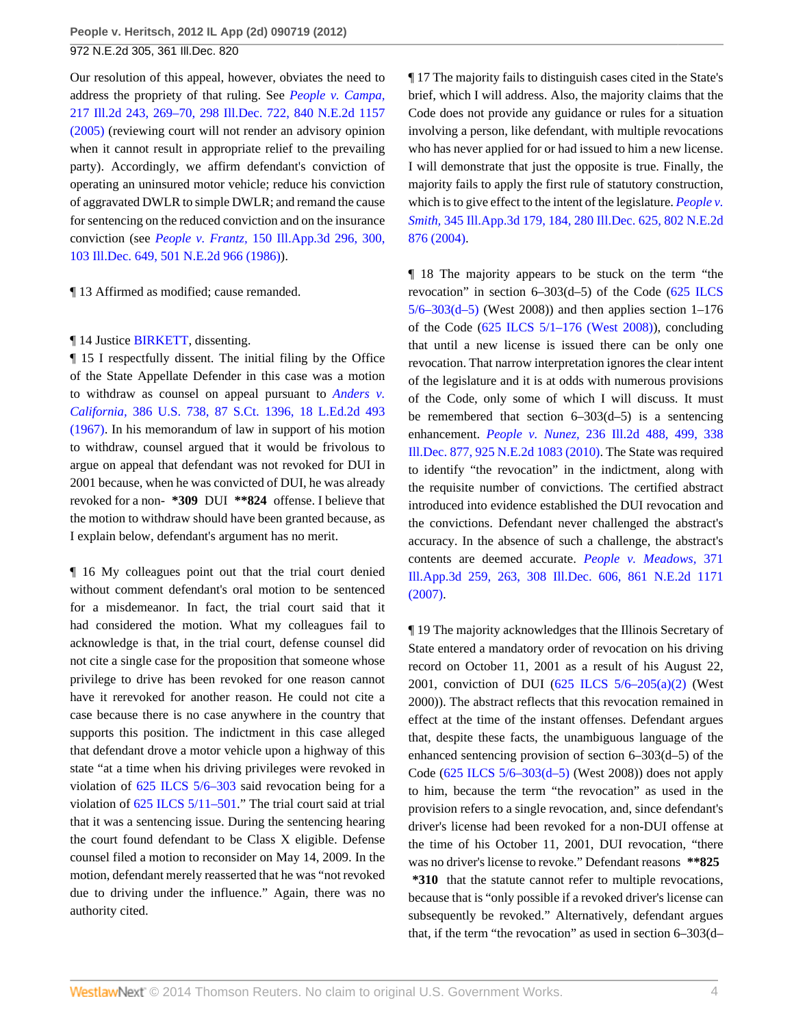Our resolution of this appeal, however, obviates the need to address the propriety of that ruling. See *[People v. Campa,](http://www.westlaw.com/Link/Document/FullText?findType=Y&serNum=2007791543&pubNum=578&originationContext=document&vr=3.0&rs=cblt1.0&transitionType=DocumentItem&contextData=(sc.Search))* [217 Ill.2d 243, 269–70, 298 Ill.Dec. 722, 840 N.E.2d 1157](http://www.westlaw.com/Link/Document/FullText?findType=Y&serNum=2007791543&pubNum=578&originationContext=document&vr=3.0&rs=cblt1.0&transitionType=DocumentItem&contextData=(sc.Search)) [\(2005\)](http://www.westlaw.com/Link/Document/FullText?findType=Y&serNum=2007791543&pubNum=578&originationContext=document&vr=3.0&rs=cblt1.0&transitionType=DocumentItem&contextData=(sc.Search)) (reviewing court will not render an advisory opinion when it cannot result in appropriate relief to the prevailing party). Accordingly, we affirm defendant's conviction of operating an uninsured motor vehicle; reduce his conviction of aggravated DWLR to simple DWLR; and remand the cause for sentencing on the reduced conviction and on the insurance conviction (see *People v. Frantz,* [150 Ill.App.3d 296, 300,](http://www.westlaw.com/Link/Document/FullText?findType=Y&serNum=1986161611&pubNum=578&originationContext=document&vr=3.0&rs=cblt1.0&transitionType=DocumentItem&contextData=(sc.Search)) [103 Ill.Dec. 649, 501 N.E.2d 966 \(1986\)](http://www.westlaw.com/Link/Document/FullText?findType=Y&serNum=1986161611&pubNum=578&originationContext=document&vr=3.0&rs=cblt1.0&transitionType=DocumentItem&contextData=(sc.Search))).

¶ 13 Affirmed as modified; cause remanded.

#### ¶ 14 Justice [BIRKETT](http://www.westlaw.com/Link/Document/FullText?findType=h&pubNum=176284&cite=0124634501&originatingDoc=Ic41d5236c29f11e1b60ab297d3d07bc5&refType=RQ&originationContext=document&vr=3.0&rs=cblt1.0&transitionType=DocumentItem&contextData=(sc.Search)), dissenting.

¶ 15 I respectfully dissent. The initial filing by the Office of the State Appellate Defender in this case was a motion to withdraw as counsel on appeal pursuant to *[Anders v.](http://www.westlaw.com/Link/Document/FullText?findType=Y&serNum=1967129500&pubNum=708&originationContext=document&vr=3.0&rs=cblt1.0&transitionType=DocumentItem&contextData=(sc.Search)) California,* [386 U.S. 738, 87 S.Ct. 1396, 18 L.Ed.2d 493](http://www.westlaw.com/Link/Document/FullText?findType=Y&serNum=1967129500&pubNum=708&originationContext=document&vr=3.0&rs=cblt1.0&transitionType=DocumentItem&contextData=(sc.Search)) [\(1967\).](http://www.westlaw.com/Link/Document/FullText?findType=Y&serNum=1967129500&pubNum=708&originationContext=document&vr=3.0&rs=cblt1.0&transitionType=DocumentItem&contextData=(sc.Search)) In his memorandum of law in support of his motion to withdraw, counsel argued that it would be frivolous to argue on appeal that defendant was not revoked for DUI in 2001 because, when he was convicted of DUI, he was already revoked for a non- **\*309** DUI **\*\*824** offense. I believe that the motion to withdraw should have been granted because, as I explain below, defendant's argument has no merit.

¶ 16 My colleagues point out that the trial court denied without comment defendant's oral motion to be sentenced for a misdemeanor. In fact, the trial court said that it had considered the motion. What my colleagues fail to acknowledge is that, in the trial court, defense counsel did not cite a single case for the proposition that someone whose privilege to drive has been revoked for one reason cannot have it rerevoked for another reason. He could not cite a case because there is no case anywhere in the country that supports this position. The indictment in this case alleged that defendant drove a motor vehicle upon a highway of this state "at a time when his driving privileges were revoked in violation of [625 ILCS 5/6–303](http://www.westlaw.com/Link/Document/FullText?findType=L&pubNum=1000008&cite=IL625S5%2f6-303&originatingDoc=Ic41d5236c29f11e1b60ab297d3d07bc5&refType=LQ&originationContext=document&vr=3.0&rs=cblt1.0&transitionType=DocumentItem&contextData=(sc.Search)) said revocation being for a violation of [625 ILCS 5/11–501.](http://www.westlaw.com/Link/Document/FullText?findType=L&pubNum=1000008&cite=IL625S5%2f11-501&originatingDoc=Ic41d5236c29f11e1b60ab297d3d07bc5&refType=LQ&originationContext=document&vr=3.0&rs=cblt1.0&transitionType=DocumentItem&contextData=(sc.Search))" The trial court said at trial that it was a sentencing issue. During the sentencing hearing the court found defendant to be Class X eligible. Defense counsel filed a motion to reconsider on May 14, 2009. In the motion, defendant merely reasserted that he was "not revoked due to driving under the influence." Again, there was no authority cited.

¶ 17 The majority fails to distinguish cases cited in the State's brief, which I will address. Also, the majority claims that the Code does not provide any guidance or rules for a situation involving a person, like defendant, with multiple revocations who has never applied for or had issued to him a new license. I will demonstrate that just the opposite is true. Finally, the majority fails to apply the first rule of statutory construction, which is to give effect to the intent of the legislature. *[People v.](http://www.westlaw.com/Link/Document/FullText?findType=Y&serNum=2004067284&pubNum=578&originationContext=document&vr=3.0&rs=cblt1.0&transitionType=DocumentItem&contextData=(sc.Search)) Smith,* [345 Ill.App.3d 179, 184, 280 Ill.Dec. 625, 802 N.E.2d](http://www.westlaw.com/Link/Document/FullText?findType=Y&serNum=2004067284&pubNum=578&originationContext=document&vr=3.0&rs=cblt1.0&transitionType=DocumentItem&contextData=(sc.Search)) [876 \(2004\)](http://www.westlaw.com/Link/Document/FullText?findType=Y&serNum=2004067284&pubNum=578&originationContext=document&vr=3.0&rs=cblt1.0&transitionType=DocumentItem&contextData=(sc.Search)).

¶ 18 The majority appears to be stuck on the term "the revocation" in section  $6-303(d-5)$  of the Code  $(625$  ILCS  $5/6 - 303(d-5)$  (West 2008)) and then applies section 1–176 of the Code  $(625$  ILCS  $5/1-176$  (West 2008)), concluding that until a new license is issued there can be only one revocation. That narrow interpretation ignores the clear intent of the legislature and it is at odds with numerous provisions of the Code, only some of which I will discuss. It must be remembered that section  $6-303(d-5)$  is a sentencing enhancement. *People v. Nunez,* [236 Ill.2d 488, 499, 338](http://www.westlaw.com/Link/Document/FullText?findType=Y&serNum=2021569172&pubNum=578&originationContext=document&vr=3.0&rs=cblt1.0&transitionType=DocumentItem&contextData=(sc.Search)) [Ill.Dec. 877, 925 N.E.2d 1083 \(2010\).](http://www.westlaw.com/Link/Document/FullText?findType=Y&serNum=2021569172&pubNum=578&originationContext=document&vr=3.0&rs=cblt1.0&transitionType=DocumentItem&contextData=(sc.Search)) The State was required to identify "the revocation" in the indictment, along with the requisite number of convictions. The certified abstract introduced into evidence established the DUI revocation and the convictions. Defendant never challenged the abstract's accuracy. In the absence of such a challenge, the abstract's contents are deemed accurate. *[People v. Meadows,](http://www.westlaw.com/Link/Document/FullText?findType=Y&serNum=2011371784&pubNum=578&originationContext=document&vr=3.0&rs=cblt1.0&transitionType=DocumentItem&contextData=(sc.Search))* 371 [Ill.App.3d 259, 263, 308 Ill.Dec. 606, 861 N.E.2d 1171](http://www.westlaw.com/Link/Document/FullText?findType=Y&serNum=2011371784&pubNum=578&originationContext=document&vr=3.0&rs=cblt1.0&transitionType=DocumentItem&contextData=(sc.Search)) [\(2007\).](http://www.westlaw.com/Link/Document/FullText?findType=Y&serNum=2011371784&pubNum=578&originationContext=document&vr=3.0&rs=cblt1.0&transitionType=DocumentItem&contextData=(sc.Search))

¶ 19 The majority acknowledges that the Illinois Secretary of State entered a mandatory order of revocation on his driving record on October 11, 2001 as a result of his August 22, 2001, conviction of DUI  $(625 \text{ ILCS } 5/6-205(a)(2)$  (West 2000)). The abstract reflects that this revocation remained in effect at the time of the instant offenses. Defendant argues that, despite these facts, the unambiguous language of the enhanced sentencing provision of section 6–303(d–5) of the Code [\(625 ILCS 5/6–303\(d–5\)](http://www.westlaw.com/Link/Document/FullText?findType=L&pubNum=1000008&cite=IL625S5%2f6-303&originatingDoc=Ic41d5236c29f11e1b60ab297d3d07bc5&refType=SP&originationContext=document&vr=3.0&rs=cblt1.0&transitionType=DocumentItem&contextData=(sc.Search)#co_pp_027d000063c96) (West 2008)) does not apply to him, because the term "the revocation" as used in the provision refers to a single revocation, and, since defendant's driver's license had been revoked for a non-DUI offense at the time of his October 11, 2001, DUI revocation, "there was no driver's license to revoke." Defendant reasons **\*\*825 \*310** that the statute cannot refer to multiple revocations, because that is "only possible if a revoked driver's license can subsequently be revoked." Alternatively, defendant argues that, if the term "the revocation" as used in section 6–303(d–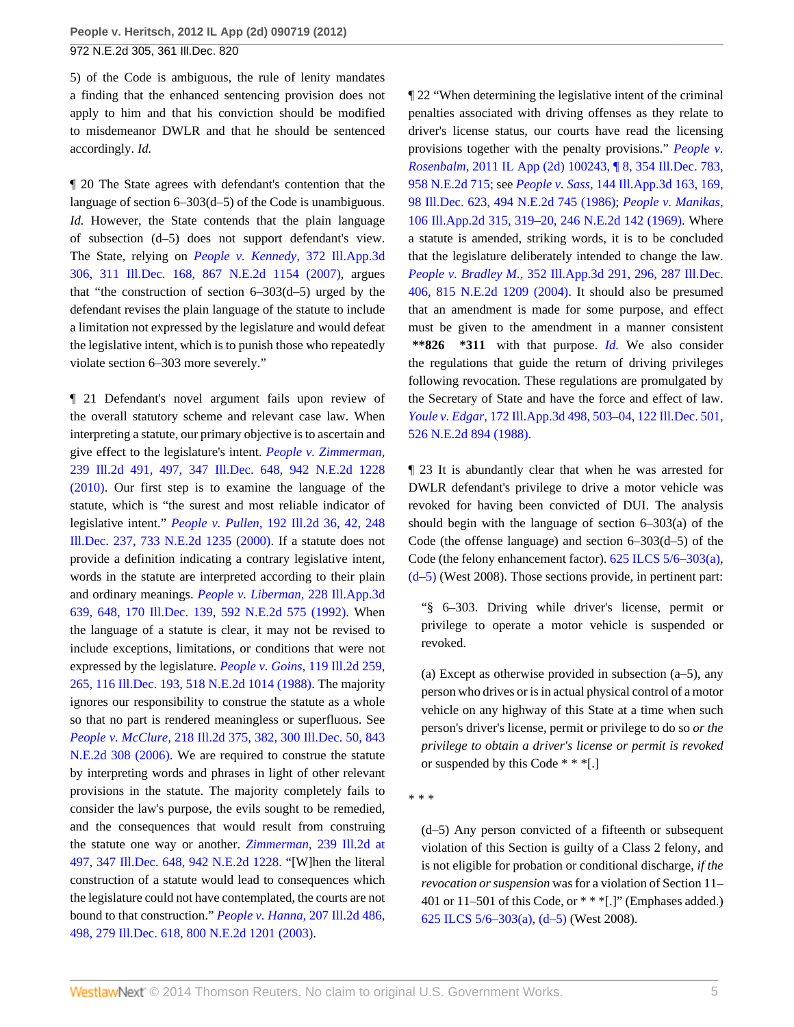5) of the Code is ambiguous, the rule of lenity mandates a finding that the enhanced sentencing provision does not apply to him and that his conviction should be modified to misdemeanor DWLR and that he should be sentenced accordingly. *Id.*

¶ 20 The State agrees with defendant's contention that the language of section 6–303(d–5) of the Code is unambiguous. *Id.* However, the State contends that the plain language of subsection (d–5) does not support defendant's view. The State, relying on *[People v. Kennedy,](http://www.westlaw.com/Link/Document/FullText?findType=Y&serNum=2011722286&pubNum=578&originationContext=document&vr=3.0&rs=cblt1.0&transitionType=DocumentItem&contextData=(sc.Search))* 372 Ill.App.3d [306, 311 Ill.Dec. 168, 867 N.E.2d 1154 \(2007\),](http://www.westlaw.com/Link/Document/FullText?findType=Y&serNum=2011722286&pubNum=578&originationContext=document&vr=3.0&rs=cblt1.0&transitionType=DocumentItem&contextData=(sc.Search)) argues that "the construction of section  $6-303(d-5)$  urged by the defendant revises the plain language of the statute to include a limitation not expressed by the legislature and would defeat the legislative intent, which is to punish those who repeatedly violate section 6–303 more severely."

¶ 21 Defendant's novel argument fails upon review of the overall statutory scheme and relevant case law. When interpreting a statute, our primary objective is to ascertain and give effect to the legislature's intent. *[People v. Zimmerman,](http://www.westlaw.com/Link/Document/FullText?findType=Y&serNum=2023791211&pubNum=578&originationContext=document&vr=3.0&rs=cblt1.0&transitionType=DocumentItem&contextData=(sc.Search))* [239 Ill.2d 491, 497, 347 Ill.Dec. 648, 942 N.E.2d 1228](http://www.westlaw.com/Link/Document/FullText?findType=Y&serNum=2023791211&pubNum=578&originationContext=document&vr=3.0&rs=cblt1.0&transitionType=DocumentItem&contextData=(sc.Search)) [\(2010\).](http://www.westlaw.com/Link/Document/FullText?findType=Y&serNum=2023791211&pubNum=578&originationContext=document&vr=3.0&rs=cblt1.0&transitionType=DocumentItem&contextData=(sc.Search)) Our first step is to examine the language of the statute, which is "the surest and most reliable indicator of legislative intent." *People v. Pullen,* [192 Ill.2d 36, 42, 248](http://www.westlaw.com/Link/Document/FullText?findType=Y&serNum=2000394727&pubNum=578&originationContext=document&vr=3.0&rs=cblt1.0&transitionType=DocumentItem&contextData=(sc.Search)) [Ill.Dec. 237, 733 N.E.2d 1235 \(2000\).](http://www.westlaw.com/Link/Document/FullText?findType=Y&serNum=2000394727&pubNum=578&originationContext=document&vr=3.0&rs=cblt1.0&transitionType=DocumentItem&contextData=(sc.Search)) If a statute does not provide a definition indicating a contrary legislative intent, words in the statute are interpreted according to their plain and ordinary meanings. *[People v. Liberman,](http://www.westlaw.com/Link/Document/FullText?findType=Y&serNum=1992083720&pubNum=578&originationContext=document&vr=3.0&rs=cblt1.0&transitionType=DocumentItem&contextData=(sc.Search))* 228 Ill.App.3d [639, 648, 170 Ill.Dec. 139, 592 N.E.2d 575 \(1992\).](http://www.westlaw.com/Link/Document/FullText?findType=Y&serNum=1992083720&pubNum=578&originationContext=document&vr=3.0&rs=cblt1.0&transitionType=DocumentItem&contextData=(sc.Search)) When the language of a statute is clear, it may not be revised to include exceptions, limitations, or conditions that were not expressed by the legislature. *[People v. Goins,](http://www.westlaw.com/Link/Document/FullText?findType=Y&serNum=1988011088&pubNum=578&originationContext=document&vr=3.0&rs=cblt1.0&transitionType=DocumentItem&contextData=(sc.Search))* 119 Ill.2d 259, [265, 116 Ill.Dec. 193, 518 N.E.2d 1014 \(1988\)](http://www.westlaw.com/Link/Document/FullText?findType=Y&serNum=1988011088&pubNum=578&originationContext=document&vr=3.0&rs=cblt1.0&transitionType=DocumentItem&contextData=(sc.Search)). The majority ignores our responsibility to construe the statute as a whole so that no part is rendered meaningless or superfluous. See *People v. McClure,* [218 Ill.2d 375, 382, 300 Ill.Dec. 50, 843](http://www.westlaw.com/Link/Document/FullText?findType=Y&serNum=2008226944&pubNum=578&originationContext=document&vr=3.0&rs=cblt1.0&transitionType=DocumentItem&contextData=(sc.Search)) [N.E.2d 308 \(2006\).](http://www.westlaw.com/Link/Document/FullText?findType=Y&serNum=2008226944&pubNum=578&originationContext=document&vr=3.0&rs=cblt1.0&transitionType=DocumentItem&contextData=(sc.Search)) We are required to construe the statute by interpreting words and phrases in light of other relevant provisions in the statute. The majority completely fails to consider the law's purpose, the evils sought to be remedied, and the consequences that would result from construing the statute one way or another. *Zimmerman,* [239 Ill.2d at](http://www.westlaw.com/Link/Document/FullText?findType=Y&serNum=2023791211&pubNum=578&originationContext=document&vr=3.0&rs=cblt1.0&transitionType=DocumentItem&contextData=(sc.Search)) [497, 347 Ill.Dec. 648, 942 N.E.2d 1228.](http://www.westlaw.com/Link/Document/FullText?findType=Y&serNum=2023791211&pubNum=578&originationContext=document&vr=3.0&rs=cblt1.0&transitionType=DocumentItem&contextData=(sc.Search)) "[W]hen the literal construction of a statute would lead to consequences which the legislature could not have contemplated, the courts are not bound to that construction." *[People v. Hanna,](http://www.westlaw.com/Link/Document/FullText?findType=Y&serNum=2003709682&pubNum=578&originationContext=document&vr=3.0&rs=cblt1.0&transitionType=DocumentItem&contextData=(sc.Search))* 207 Ill.2d 486, [498, 279 Ill.Dec. 618, 800 N.E.2d 1201 \(2003\)](http://www.westlaw.com/Link/Document/FullText?findType=Y&serNum=2003709682&pubNum=578&originationContext=document&vr=3.0&rs=cblt1.0&transitionType=DocumentItem&contextData=(sc.Search)).

¶ 22 "When determining the legislative intent of the criminal penalties associated with driving offenses as they relate to driver's license status, our courts have read the licensing provisions together with the penalty provisions." *[People v.](http://www.westlaw.com/Link/Document/FullText?findType=Y&serNum=2026240719&pubNum=578&originationContext=document&vr=3.0&rs=cblt1.0&transitionType=DocumentItem&contextData=(sc.Search)) Rosenbalm,* [2011 IL App \(2d\) 100243, ¶ 8, 354 Ill.Dec. 783,](http://www.westlaw.com/Link/Document/FullText?findType=Y&serNum=2026240719&pubNum=578&originationContext=document&vr=3.0&rs=cblt1.0&transitionType=DocumentItem&contextData=(sc.Search)) [958 N.E.2d 715;](http://www.westlaw.com/Link/Document/FullText?findType=Y&serNum=2026240719&pubNum=578&originationContext=document&vr=3.0&rs=cblt1.0&transitionType=DocumentItem&contextData=(sc.Search)) see *People v. Sass,* [144 Ill.App.3d 163, 169,](http://www.westlaw.com/Link/Document/FullText?findType=Y&serNum=1986129498&pubNum=578&originationContext=document&vr=3.0&rs=cblt1.0&transitionType=DocumentItem&contextData=(sc.Search)) [98 Ill.Dec. 623, 494 N.E.2d 745 \(1986\);](http://www.westlaw.com/Link/Document/FullText?findType=Y&serNum=1986129498&pubNum=578&originationContext=document&vr=3.0&rs=cblt1.0&transitionType=DocumentItem&contextData=(sc.Search)) *[People v. Manikas,](http://www.westlaw.com/Link/Document/FullText?findType=Y&serNum=1969122215&pubNum=578&originationContext=document&vr=3.0&rs=cblt1.0&transitionType=DocumentItem&contextData=(sc.Search))* [106 Ill.App.2d 315, 319–20, 246 N.E.2d 142 \(1969\)](http://www.westlaw.com/Link/Document/FullText?findType=Y&serNum=1969122215&pubNum=578&originationContext=document&vr=3.0&rs=cblt1.0&transitionType=DocumentItem&contextData=(sc.Search)). Where a statute is amended, striking words, it is to be concluded that the legislature deliberately intended to change the law. *People v. Bradley M.,* [352 Ill.App.3d 291, 296, 287 Ill.Dec.](http://www.westlaw.com/Link/Document/FullText?findType=Y&serNum=2004281930&pubNum=578&originationContext=document&vr=3.0&rs=cblt1.0&transitionType=DocumentItem&contextData=(sc.Search)) [406, 815 N.E.2d 1209 \(2004\)](http://www.westlaw.com/Link/Document/FullText?findType=Y&serNum=2004281930&pubNum=578&originationContext=document&vr=3.0&rs=cblt1.0&transitionType=DocumentItem&contextData=(sc.Search)). It should also be presumed that an amendment is made for some purpose, and effect must be given to the amendment in a manner consistent **\*\*826 \*311** with that purpose. *[Id.](http://www.westlaw.com/Link/Document/FullText?findType=Y&serNum=2004281930&originationContext=document&vr=3.0&rs=cblt1.0&transitionType=DocumentItem&contextData=(sc.Search))* We also consider the regulations that guide the return of driving privileges following revocation. These regulations are promulgated by the Secretary of State and have the force and effect of law. *Youle v. Edgar,* [172 Ill.App.3d 498, 503–04, 122 Ill.Dec. 501,](http://www.westlaw.com/Link/Document/FullText?findType=Y&serNum=1988092541&pubNum=578&originationContext=document&vr=3.0&rs=cblt1.0&transitionType=DocumentItem&contextData=(sc.Search)) [526 N.E.2d 894 \(1988\)](http://www.westlaw.com/Link/Document/FullText?findType=Y&serNum=1988092541&pubNum=578&originationContext=document&vr=3.0&rs=cblt1.0&transitionType=DocumentItem&contextData=(sc.Search)).

¶ 23 It is abundantly clear that when he was arrested for DWLR defendant's privilege to drive a motor vehicle was revoked for having been convicted of DUI. The analysis should begin with the language of section 6–303(a) of the Code (the offense language) and section 6–303(d–5) of the Code (the felony enhancement factor). [625 ILCS 5/6–303\(a\),](http://www.westlaw.com/Link/Document/FullText?findType=L&pubNum=1000008&cite=IL625S5%2f6-303&originatingDoc=Ic41d5236c29f11e1b60ab297d3d07bc5&refType=SP&originationContext=document&vr=3.0&rs=cblt1.0&transitionType=DocumentItem&contextData=(sc.Search)#co_pp_8b3b0000958a4) [\(d–5\)](http://www.westlaw.com/Link/Document/FullText?findType=L&pubNum=1000008&cite=IL625S5%2f6-303&originatingDoc=Ic41d5236c29f11e1b60ab297d3d07bc5&refType=SP&originationContext=document&vr=3.0&rs=cblt1.0&transitionType=DocumentItem&contextData=(sc.Search)#co_pp_027d000063c96) (West 2008). Those sections provide, in pertinent part:

"§ 6–303. Driving while driver's license, permit or privilege to operate a motor vehicle is suspended or revoked.

(a) Except as otherwise provided in subsection (a–5), any person who drives or is in actual physical control of a motor vehicle on any highway of this State at a time when such person's driver's license, permit or privilege to do so *or the privilege to obtain a driver's license or permit is revoked* or suspended by this Code \* \* \*[.]

\* \* \*

(d–5) Any person convicted of a fifteenth or subsequent violation of this Section is guilty of a Class 2 felony, and is not eligible for probation or conditional discharge, *if the revocation or suspension* was for a violation of Section 11– 401 or  $11-501$  of this Code, or  $**$  [.]" (Emphases added.) [625 ILCS 5/6–303\(a\),](http://www.westlaw.com/Link/Document/FullText?findType=L&pubNum=1000008&cite=IL625S5%2f6-303&originatingDoc=Ic41d5236c29f11e1b60ab297d3d07bc5&refType=SP&originationContext=document&vr=3.0&rs=cblt1.0&transitionType=DocumentItem&contextData=(sc.Search)#co_pp_8b3b0000958a4) [\(d–5\)](http://www.westlaw.com/Link/Document/FullText?findType=L&pubNum=1000008&cite=IL625S5%2f6-303&originatingDoc=Ic41d5236c29f11e1b60ab297d3d07bc5&refType=SP&originationContext=document&vr=3.0&rs=cblt1.0&transitionType=DocumentItem&contextData=(sc.Search)#co_pp_027d000063c96) (West 2008).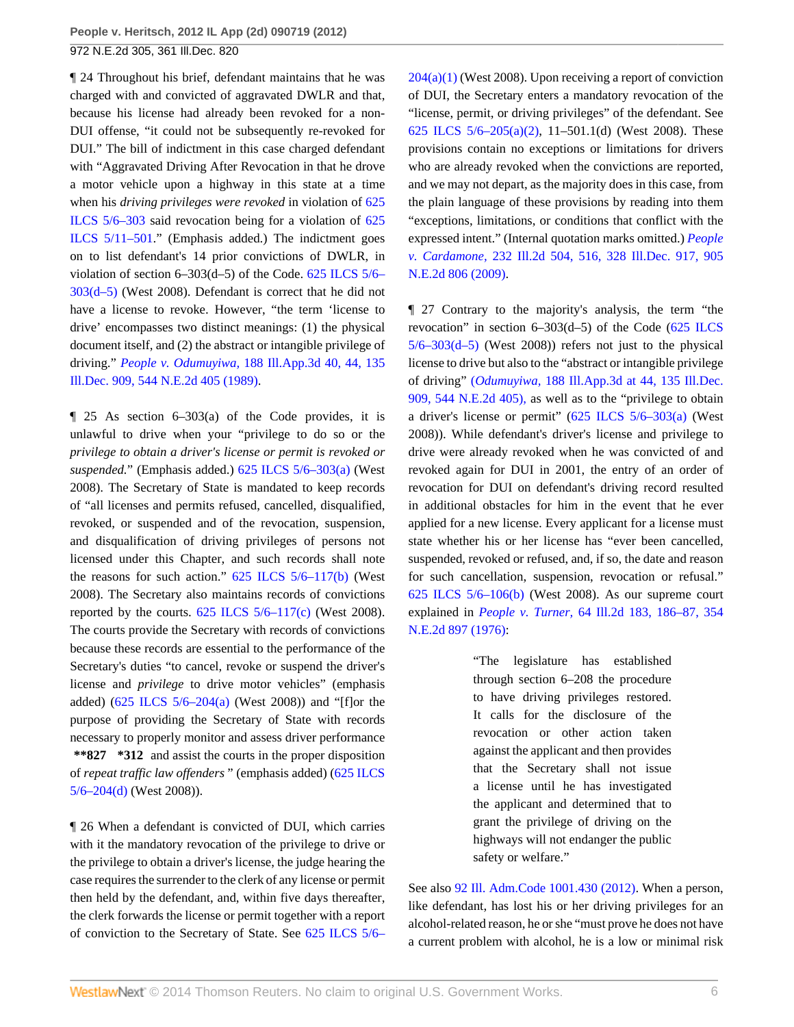¶ 24 Throughout his brief, defendant maintains that he was charged with and convicted of aggravated DWLR and that, because his license had already been revoked for a non-DUI offense, "it could not be subsequently re-revoked for DUI." The bill of indictment in this case charged defendant with "Aggravated Driving After Revocation in that he drove a motor vehicle upon a highway in this state at a time when his *driving privileges were revoked* in violation of [625](http://www.westlaw.com/Link/Document/FullText?findType=L&pubNum=1000008&cite=IL625S5%2f6-303&originatingDoc=Ic41d5236c29f11e1b60ab297d3d07bc5&refType=LQ&originationContext=document&vr=3.0&rs=cblt1.0&transitionType=DocumentItem&contextData=(sc.Search)) [ILCS 5/6–303](http://www.westlaw.com/Link/Document/FullText?findType=L&pubNum=1000008&cite=IL625S5%2f6-303&originatingDoc=Ic41d5236c29f11e1b60ab297d3d07bc5&refType=LQ&originationContext=document&vr=3.0&rs=cblt1.0&transitionType=DocumentItem&contextData=(sc.Search)) said revocation being for a violation of [625](http://www.westlaw.com/Link/Document/FullText?findType=L&pubNum=1000008&cite=IL625S5%2f11-501&originatingDoc=Ic41d5236c29f11e1b60ab297d3d07bc5&refType=LQ&originationContext=document&vr=3.0&rs=cblt1.0&transitionType=DocumentItem&contextData=(sc.Search)) [ILCS 5/11–501](http://www.westlaw.com/Link/Document/FullText?findType=L&pubNum=1000008&cite=IL625S5%2f11-501&originatingDoc=Ic41d5236c29f11e1b60ab297d3d07bc5&refType=LQ&originationContext=document&vr=3.0&rs=cblt1.0&transitionType=DocumentItem&contextData=(sc.Search))." (Emphasis added.) The indictment goes on to list defendant's 14 prior convictions of DWLR, in violation of section 6–303(d–5) of the Code. [625 ILCS 5/6–](http://www.westlaw.com/Link/Document/FullText?findType=L&pubNum=1000008&cite=IL625S5%2f6-303&originatingDoc=Ic41d5236c29f11e1b60ab297d3d07bc5&refType=SP&originationContext=document&vr=3.0&rs=cblt1.0&transitionType=DocumentItem&contextData=(sc.Search)#co_pp_027d000063c96) [303\(d–5\)](http://www.westlaw.com/Link/Document/FullText?findType=L&pubNum=1000008&cite=IL625S5%2f6-303&originatingDoc=Ic41d5236c29f11e1b60ab297d3d07bc5&refType=SP&originationContext=document&vr=3.0&rs=cblt1.0&transitionType=DocumentItem&contextData=(sc.Search)#co_pp_027d000063c96) (West 2008). Defendant is correct that he did not have a license to revoke. However, "the term 'license to drive' encompasses two distinct meanings: (1) the physical document itself, and (2) the abstract or intangible privilege of driving." *People v. Odumuyiwa,* [188 Ill.App.3d 40, 44, 135](http://www.westlaw.com/Link/Document/FullText?findType=Y&serNum=1989141225&pubNum=578&originationContext=document&vr=3.0&rs=cblt1.0&transitionType=DocumentItem&contextData=(sc.Search)) [Ill.Dec. 909, 544 N.E.2d 405 \(1989\).](http://www.westlaw.com/Link/Document/FullText?findType=Y&serNum=1989141225&pubNum=578&originationContext=document&vr=3.0&rs=cblt1.0&transitionType=DocumentItem&contextData=(sc.Search))

 $\parallel$  25 As section 6–303(a) of the Code provides, it is unlawful to drive when your "privilege to do so or the *privilege to obtain a driver's license or permit is revoked or suspended.*" (Emphasis added.) [625 ILCS 5/6–303\(a\)](http://www.westlaw.com/Link/Document/FullText?findType=L&pubNum=1000008&cite=IL625S5%2f6-303&originatingDoc=Ic41d5236c29f11e1b60ab297d3d07bc5&refType=SP&originationContext=document&vr=3.0&rs=cblt1.0&transitionType=DocumentItem&contextData=(sc.Search)#co_pp_8b3b0000958a4) (West 2008). The Secretary of State is mandated to keep records of "all licenses and permits refused, cancelled, disqualified, revoked, or suspended and of the revocation, suspension, and disqualification of driving privileges of persons not licensed under this Chapter, and such records shall note the reasons for such action." [625 ILCS 5/6–117\(b\)](http://www.westlaw.com/Link/Document/FullText?findType=L&pubNum=1000008&cite=IL625S5%2f6-117&originatingDoc=Ic41d5236c29f11e1b60ab297d3d07bc5&refType=SP&originationContext=document&vr=3.0&rs=cblt1.0&transitionType=DocumentItem&contextData=(sc.Search)#co_pp_a83b000018c76) (West 2008). The Secretary also maintains records of convictions reported by the courts.  $625$  ILCS  $5/6-117$ (c) (West 2008). The courts provide the Secretary with records of convictions because these records are essential to the performance of the Secretary's duties "to cancel, revoke or suspend the driver's license and *privilege* to drive motor vehicles" (emphasis added)  $(625$  ILCS  $5/6-204(a)$  (West 2008)) and "[f]or the purpose of providing the Secretary of State with records necessary to properly monitor and assess driver performance **\*\*827 \*312** and assist the courts in the proper disposition of *repeat traffic law offenders* " (emphasis added) [\(625 ILCS](http://www.westlaw.com/Link/Document/FullText?findType=L&pubNum=1000008&cite=IL625S5%2f6-204&originatingDoc=Ic41d5236c29f11e1b60ab297d3d07bc5&refType=SP&originationContext=document&vr=3.0&rs=cblt1.0&transitionType=DocumentItem&contextData=(sc.Search)#co_pp_5ba1000067d06) [5/6–204\(d\)](http://www.westlaw.com/Link/Document/FullText?findType=L&pubNum=1000008&cite=IL625S5%2f6-204&originatingDoc=Ic41d5236c29f11e1b60ab297d3d07bc5&refType=SP&originationContext=document&vr=3.0&rs=cblt1.0&transitionType=DocumentItem&contextData=(sc.Search)#co_pp_5ba1000067d06) (West 2008)).

¶ 26 When a defendant is convicted of DUI, which carries with it the mandatory revocation of the privilege to drive or the privilege to obtain a driver's license, the judge hearing the case requires the surrender to the clerk of any license or permit then held by the defendant, and, within five days thereafter, the clerk forwards the license or permit together with a report of conviction to the Secretary of State. See [625 ILCS 5/6–](http://www.westlaw.com/Link/Document/FullText?findType=L&pubNum=1000008&cite=IL625S5%2f6-204&originatingDoc=Ic41d5236c29f11e1b60ab297d3d07bc5&refType=SP&originationContext=document&vr=3.0&rs=cblt1.0&transitionType=DocumentItem&contextData=(sc.Search)#co_pp_7b9b000044381)

 $204(a)(1)$  (West 2008). Upon receiving a report of conviction of DUI, the Secretary enters a mandatory revocation of the "license, permit, or driving privileges" of the defendant. See 625 ILCS  $5/6-205(a)(2)$ , 11-501.1(d) (West 2008). These provisions contain no exceptions or limitations for drivers who are already revoked when the convictions are reported, and we may not depart, as the majority does in this case, from the plain language of these provisions by reading into them "exceptions, limitations, or conditions that conflict with the expressed intent." (Internal quotation marks omitted.) *[People](http://www.westlaw.com/Link/Document/FullText?findType=Y&serNum=2018394712&pubNum=578&originationContext=document&vr=3.0&rs=cblt1.0&transitionType=DocumentItem&contextData=(sc.Search)) v. Cardamone,* [232 Ill.2d 504, 516, 328 Ill.Dec. 917, 905](http://www.westlaw.com/Link/Document/FullText?findType=Y&serNum=2018394712&pubNum=578&originationContext=document&vr=3.0&rs=cblt1.0&transitionType=DocumentItem&contextData=(sc.Search)) [N.E.2d 806 \(2009\).](http://www.westlaw.com/Link/Document/FullText?findType=Y&serNum=2018394712&pubNum=578&originationContext=document&vr=3.0&rs=cblt1.0&transitionType=DocumentItem&contextData=(sc.Search))

¶ 27 Contrary to the majority's analysis, the term "the revocation" in section 6–303(d–5) of the Code [\(625 ILCS](http://www.westlaw.com/Link/Document/FullText?findType=L&pubNum=1000008&cite=IL625S5%2f6-303&originatingDoc=Ic41d5236c29f11e1b60ab297d3d07bc5&refType=SP&originationContext=document&vr=3.0&rs=cblt1.0&transitionType=DocumentItem&contextData=(sc.Search)#co_pp_027d000063c96)  $5/6 - 303(d-5)$  (West 2008)) refers not just to the physical license to drive but also to the "abstract or intangible privilege of driving" (*Odumuyiwa,* [188 Ill.App.3d at 44, 135 Ill.Dec.](http://www.westlaw.com/Link/Document/FullText?findType=Y&serNum=1989141225&pubNum=578&originationContext=document&vr=3.0&rs=cblt1.0&transitionType=DocumentItem&contextData=(sc.Search)) [909, 544 N.E.2d 405\),](http://www.westlaw.com/Link/Document/FullText?findType=Y&serNum=1989141225&pubNum=578&originationContext=document&vr=3.0&rs=cblt1.0&transitionType=DocumentItem&contextData=(sc.Search)) as well as to the "privilege to obtain a driver's license or permit" ([625 ILCS 5/6–303\(a\)](http://www.westlaw.com/Link/Document/FullText?findType=L&pubNum=1000008&cite=IL625S5%2f6-303&originatingDoc=Ic41d5236c29f11e1b60ab297d3d07bc5&refType=SP&originationContext=document&vr=3.0&rs=cblt1.0&transitionType=DocumentItem&contextData=(sc.Search)#co_pp_8b3b0000958a4) (West 2008)). While defendant's driver's license and privilege to drive were already revoked when he was convicted of and revoked again for DUI in 2001, the entry of an order of revocation for DUI on defendant's driving record resulted in additional obstacles for him in the event that he ever applied for a new license. Every applicant for a license must state whether his or her license has "ever been cancelled, suspended, revoked or refused, and, if so, the date and reason for such cancellation, suspension, revocation or refusal." [625 ILCS 5/6–106\(b\)](http://www.westlaw.com/Link/Document/FullText?findType=L&pubNum=1000008&cite=IL625S5%2f6-106&originatingDoc=Ic41d5236c29f11e1b60ab297d3d07bc5&refType=SP&originationContext=document&vr=3.0&rs=cblt1.0&transitionType=DocumentItem&contextData=(sc.Search)#co_pp_a83b000018c76) (West 2008). As our supreme court explained in *People v. Turner,* [64 Ill.2d 183, 186–87, 354](http://www.westlaw.com/Link/Document/FullText?findType=Y&serNum=1976130987&pubNum=578&originationContext=document&vr=3.0&rs=cblt1.0&transitionType=DocumentItem&contextData=(sc.Search)) [N.E.2d 897 \(1976\):](http://www.westlaw.com/Link/Document/FullText?findType=Y&serNum=1976130987&pubNum=578&originationContext=document&vr=3.0&rs=cblt1.0&transitionType=DocumentItem&contextData=(sc.Search))

> "The legislature has established through section 6–208 the procedure to have driving privileges restored. It calls for the disclosure of the revocation or other action taken against the applicant and then provides that the Secretary shall not issue a license until he has investigated the applicant and determined that to grant the privilege of driving on the highways will not endanger the public safety or welfare."

See also [92 Ill. Adm.Code 1001.430 \(2012\)](http://www.westlaw.com/Link/Document/FullText?findType=L&pubNum=1005428&cite=92ILADC1001.430&originatingDoc=Ic41d5236c29f11e1b60ab297d3d07bc5&refType=LQ&originationContext=document&vr=3.0&rs=cblt1.0&transitionType=DocumentItem&contextData=(sc.Search)). When a person, like defendant, has lost his or her driving privileges for an alcohol-related reason, he or she "must prove he does not have a current problem with alcohol, he is a low or minimal risk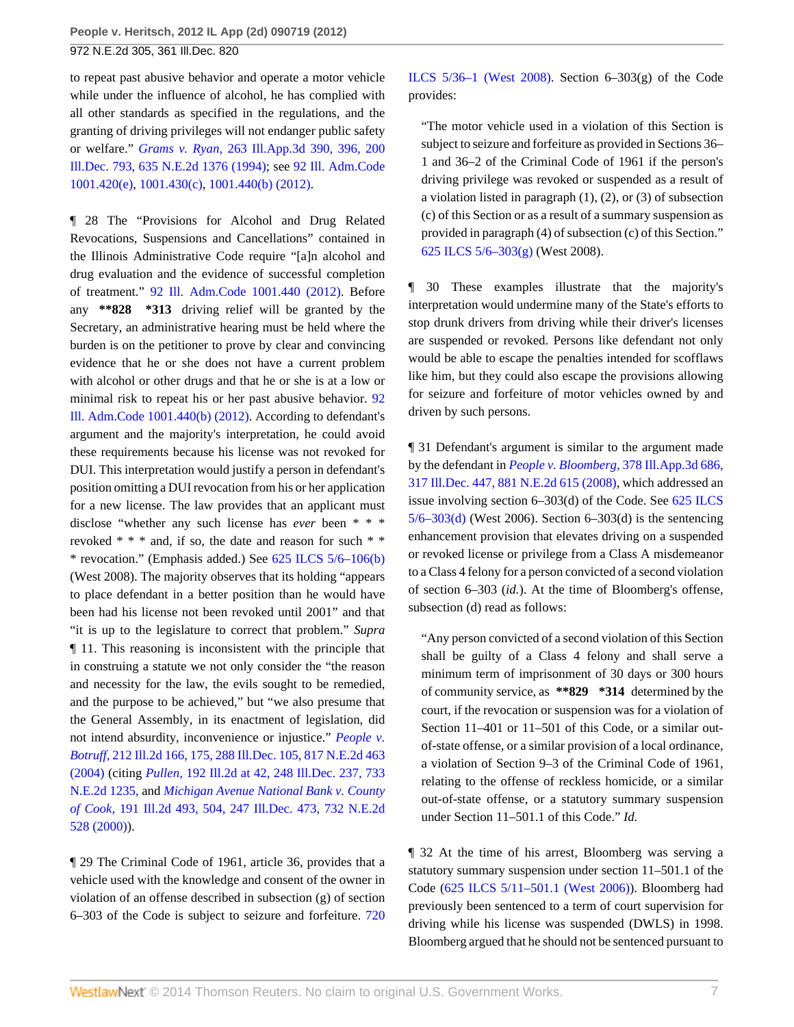to repeat past abusive behavior and operate a motor vehicle while under the influence of alcohol, he has complied with all other standards as specified in the regulations, and the granting of driving privileges will not endanger public safety or welfare." *Grams v. Ryan,* [263 Ill.App.3d 390, 396, 200](http://www.westlaw.com/Link/Document/FullText?findType=Y&serNum=1994136139&pubNum=578&originationContext=document&vr=3.0&rs=cblt1.0&transitionType=DocumentItem&contextData=(sc.Search)) [Ill.Dec. 793, 635 N.E.2d 1376 \(1994\)](http://www.westlaw.com/Link/Document/FullText?findType=Y&serNum=1994136139&pubNum=578&originationContext=document&vr=3.0&rs=cblt1.0&transitionType=DocumentItem&contextData=(sc.Search)); see [92 Ill. Adm.Code](http://www.westlaw.com/Link/Document/FullText?findType=L&pubNum=1005428&cite=92ILADC1001.420&originatingDoc=Ic41d5236c29f11e1b60ab297d3d07bc5&refType=LQ&originationContext=document&vr=3.0&rs=cblt1.0&transitionType=DocumentItem&contextData=(sc.Search)) [1001.420\(e\),](http://www.westlaw.com/Link/Document/FullText?findType=L&pubNum=1005428&cite=92ILADC1001.420&originatingDoc=Ic41d5236c29f11e1b60ab297d3d07bc5&refType=LQ&originationContext=document&vr=3.0&rs=cblt1.0&transitionType=DocumentItem&contextData=(sc.Search)) [1001.430\(c\)](http://www.westlaw.com/Link/Document/FullText?findType=L&pubNum=1005428&cite=92ILADC1001.430&originatingDoc=Ic41d5236c29f11e1b60ab297d3d07bc5&refType=LQ&originationContext=document&vr=3.0&rs=cblt1.0&transitionType=DocumentItem&contextData=(sc.Search)), [1001.440\(b\) \(2012\).](http://www.westlaw.com/Link/Document/FullText?findType=L&pubNum=1005428&cite=92ILADC1001.440&originatingDoc=Ic41d5236c29f11e1b60ab297d3d07bc5&refType=LQ&originationContext=document&vr=3.0&rs=cblt1.0&transitionType=DocumentItem&contextData=(sc.Search))

¶ 28 The "Provisions for Alcohol and Drug Related Revocations, Suspensions and Cancellations" contained in the Illinois Administrative Code require "[a]n alcohol and drug evaluation and the evidence of successful completion of treatment." [92 Ill. Adm.Code 1001.440 \(2012\).](http://www.westlaw.com/Link/Document/FullText?findType=L&pubNum=1005428&cite=92ILADC1001.440&originatingDoc=Ic41d5236c29f11e1b60ab297d3d07bc5&refType=LQ&originationContext=document&vr=3.0&rs=cblt1.0&transitionType=DocumentItem&contextData=(sc.Search)) Before any **\*\*828 \*313** driving relief will be granted by the Secretary, an administrative hearing must be held where the burden is on the petitioner to prove by clear and convincing evidence that he or she does not have a current problem with alcohol or other drugs and that he or she is at a low or minimal risk to repeat his or her past abusive behavior. [92](http://www.westlaw.com/Link/Document/FullText?findType=L&pubNum=1005428&cite=92ILADC1001.440&originatingDoc=Ic41d5236c29f11e1b60ab297d3d07bc5&refType=LQ&originationContext=document&vr=3.0&rs=cblt1.0&transitionType=DocumentItem&contextData=(sc.Search)) [Ill. Adm.Code 1001.440\(b\) \(2012\)](http://www.westlaw.com/Link/Document/FullText?findType=L&pubNum=1005428&cite=92ILADC1001.440&originatingDoc=Ic41d5236c29f11e1b60ab297d3d07bc5&refType=LQ&originationContext=document&vr=3.0&rs=cblt1.0&transitionType=DocumentItem&contextData=(sc.Search)). According to defendant's argument and the majority's interpretation, he could avoid these requirements because his license was not revoked for DUI. This interpretation would justify a person in defendant's position omitting a DUI revocation from his or her application for a new license. The law provides that an applicant must disclose "whether any such license has *ever* been \* \* \* revoked \* \* \* and, if so, the date and reason for such \* \* \* revocation." (Emphasis added.) See [625 ILCS 5/6–106\(b\)](http://www.westlaw.com/Link/Document/FullText?findType=L&pubNum=1000008&cite=IL625S5%2f6-106&originatingDoc=Ic41d5236c29f11e1b60ab297d3d07bc5&refType=SP&originationContext=document&vr=3.0&rs=cblt1.0&transitionType=DocumentItem&contextData=(sc.Search)#co_pp_a83b000018c76) (West 2008). The majority observes that its holding "appears to place defendant in a better position than he would have been had his license not been revoked until 2001" and that "it is up to the legislature to correct that problem." *Supra* ¶ 11. This reasoning is inconsistent with the principle that in construing a statute we not only consider the "the reason and necessity for the law, the evils sought to be remedied, and the purpose to be achieved," but "we also presume that the General Assembly, in its enactment of legislation, did not intend absurdity, inconvenience or injustice." *[People v.](http://www.westlaw.com/Link/Document/FullText?findType=Y&serNum=2005138435&pubNum=578&originationContext=document&vr=3.0&rs=cblt1.0&transitionType=DocumentItem&contextData=(sc.Search)) Botruff,* [212 Ill.2d 166, 175, 288 Ill.Dec. 105, 817 N.E.2d 463](http://www.westlaw.com/Link/Document/FullText?findType=Y&serNum=2005138435&pubNum=578&originationContext=document&vr=3.0&rs=cblt1.0&transitionType=DocumentItem&contextData=(sc.Search)) [\(2004\)](http://www.westlaw.com/Link/Document/FullText?findType=Y&serNum=2005138435&pubNum=578&originationContext=document&vr=3.0&rs=cblt1.0&transitionType=DocumentItem&contextData=(sc.Search)) (citing *Pullen,* [192 Ill.2d at 42, 248 Ill.Dec. 237, 733](http://www.westlaw.com/Link/Document/FullText?findType=Y&serNum=2000394727&pubNum=578&originationContext=document&vr=3.0&rs=cblt1.0&transitionType=DocumentItem&contextData=(sc.Search)) [N.E.2d 1235,](http://www.westlaw.com/Link/Document/FullText?findType=Y&serNum=2000394727&pubNum=578&originationContext=document&vr=3.0&rs=cblt1.0&transitionType=DocumentItem&contextData=(sc.Search)) and *[Michigan Avenue National Bank v. County](http://www.westlaw.com/Link/Document/FullText?findType=Y&serNum=2000381542&pubNum=578&originationContext=document&vr=3.0&rs=cblt1.0&transitionType=DocumentItem&contextData=(sc.Search)) of Cook,* [191 Ill.2d 493, 504, 247 Ill.Dec. 473, 732 N.E.2d](http://www.westlaw.com/Link/Document/FullText?findType=Y&serNum=2000381542&pubNum=578&originationContext=document&vr=3.0&rs=cblt1.0&transitionType=DocumentItem&contextData=(sc.Search)) [528 \(2000\)](http://www.westlaw.com/Link/Document/FullText?findType=Y&serNum=2000381542&pubNum=578&originationContext=document&vr=3.0&rs=cblt1.0&transitionType=DocumentItem&contextData=(sc.Search))).

¶ 29 The Criminal Code of 1961, article 36, provides that a vehicle used with the knowledge and consent of the owner in violation of an offense described in subsection (g) of section 6–303 of the Code is subject to seizure and forfeiture. [720](http://www.westlaw.com/Link/Document/FullText?findType=L&pubNum=1000008&cite=ILSTC720S5%2f36-1&originatingDoc=Ic41d5236c29f11e1b60ab297d3d07bc5&refType=LQ&originationContext=document&vr=3.0&rs=cblt1.0&transitionType=DocumentItem&contextData=(sc.Search)) [ILCS 5/36–1 \(West 2008\).](http://www.westlaw.com/Link/Document/FullText?findType=L&pubNum=1000008&cite=ILSTC720S5%2f36-1&originatingDoc=Ic41d5236c29f11e1b60ab297d3d07bc5&refType=LQ&originationContext=document&vr=3.0&rs=cblt1.0&transitionType=DocumentItem&contextData=(sc.Search)) Section 6–303(g) of the Code provides:

"The motor vehicle used in a violation of this Section is subject to seizure and forfeiture as provided in Sections 36– 1 and 36–2 of the Criminal Code of 1961 if the person's driving privilege was revoked or suspended as a result of a violation listed in paragraph (1), (2), or (3) of subsection (c) of this Section or as a result of a summary suspension as provided in paragraph (4) of subsection (c) of this Section." [625 ILCS 5/6–303\(g\)](http://www.westlaw.com/Link/Document/FullText?findType=L&pubNum=1000008&cite=IL625S5%2f6-303&originatingDoc=Ic41d5236c29f11e1b60ab297d3d07bc5&refType=SP&originationContext=document&vr=3.0&rs=cblt1.0&transitionType=DocumentItem&contextData=(sc.Search)#co_pp_16f4000091d86) (West 2008).

¶ 30 These examples illustrate that the majority's interpretation would undermine many of the State's efforts to stop drunk drivers from driving while their driver's licenses are suspended or revoked. Persons like defendant not only would be able to escape the penalties intended for scofflaws like him, but they could also escape the provisions allowing for seizure and forfeiture of motor vehicles owned by and driven by such persons.

¶ 31 Defendant's argument is similar to the argument made by the defendant in *[People v. Bloomberg,](http://www.westlaw.com/Link/Document/FullText?findType=Y&serNum=2014915184&pubNum=578&originationContext=document&vr=3.0&rs=cblt1.0&transitionType=DocumentItem&contextData=(sc.Search))* 378 Ill.App.3d 686, [317 Ill.Dec. 447, 881 N.E.2d 615 \(2008\),](http://www.westlaw.com/Link/Document/FullText?findType=Y&serNum=2014915184&pubNum=578&originationContext=document&vr=3.0&rs=cblt1.0&transitionType=DocumentItem&contextData=(sc.Search)) which addressed an issue involving section 6–303(d) of the Code. See [625 ILCS](http://www.westlaw.com/Link/Document/FullText?findType=L&pubNum=1000008&cite=IL625S5%2f6-303&originatingDoc=Ic41d5236c29f11e1b60ab297d3d07bc5&refType=SP&originationContext=document&vr=3.0&rs=cblt1.0&transitionType=DocumentItem&contextData=(sc.Search)#co_pp_5ba1000067d06)  $5/6-303(d)$  (West 2006). Section 6-303(d) is the sentencing enhancement provision that elevates driving on a suspended or revoked license or privilege from a Class A misdemeanor to a Class 4 felony for a person convicted of a second violation of section 6–303 (*id.*). At the time of Bloomberg's offense, subsection (d) read as follows:

"Any person convicted of a second violation of this Section shall be guilty of a Class 4 felony and shall serve a minimum term of imprisonment of 30 days or 300 hours of community service, as **\*\*829 \*314** determined by the court, if the revocation or suspension was for a violation of Section 11–401 or 11–501 of this Code, or a similar outof-state offense, or a similar provision of a local ordinance, a violation of Section 9–3 of the Criminal Code of 1961, relating to the offense of reckless homicide, or a similar out-of-state offense, or a statutory summary suspension under Section 11–501.1 of this Code." *Id.*

¶ 32 At the time of his arrest, Bloomberg was serving a statutory summary suspension under section 11–501.1 of the Code ([625 ILCS 5/11–501.1 \(West 2006\)\)](http://www.westlaw.com/Link/Document/FullText?findType=L&pubNum=1000008&cite=IL625S5%2f11-501.1&originatingDoc=Ic41d5236c29f11e1b60ab297d3d07bc5&refType=LQ&originationContext=document&vr=3.0&rs=cblt1.0&transitionType=DocumentItem&contextData=(sc.Search)). Bloomberg had previously been sentenced to a term of court supervision for driving while his license was suspended (DWLS) in 1998. Bloomberg argued that he should not be sentenced pursuant to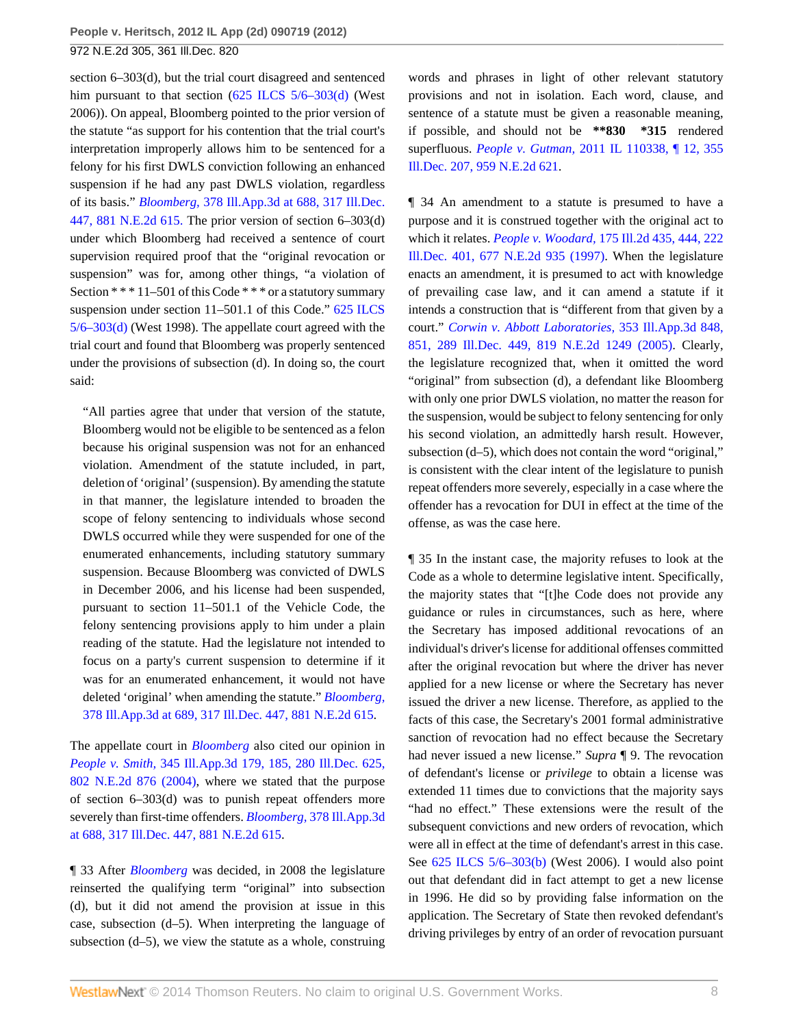section 6–303(d), but the trial court disagreed and sentenced him pursuant to that section [\(625 ILCS 5/6–303\(d\)](http://www.westlaw.com/Link/Document/FullText?findType=L&pubNum=1000008&cite=IL625S5%2f6-303&originatingDoc=Ic41d5236c29f11e1b60ab297d3d07bc5&refType=SP&originationContext=document&vr=3.0&rs=cblt1.0&transitionType=DocumentItem&contextData=(sc.Search)#co_pp_5ba1000067d06) (West 2006)). On appeal, Bloomberg pointed to the prior version of the statute "as support for his contention that the trial court's interpretation improperly allows him to be sentenced for a felony for his first DWLS conviction following an enhanced suspension if he had any past DWLS violation, regardless of its basis." *Bloomberg,* [378 Ill.App.3d at 688, 317 Ill.Dec.](http://www.westlaw.com/Link/Document/FullText?findType=Y&serNum=2014915184&pubNum=578&originationContext=document&vr=3.0&rs=cblt1.0&transitionType=DocumentItem&contextData=(sc.Search)) [447, 881 N.E.2d 615.](http://www.westlaw.com/Link/Document/FullText?findType=Y&serNum=2014915184&pubNum=578&originationContext=document&vr=3.0&rs=cblt1.0&transitionType=DocumentItem&contextData=(sc.Search)) The prior version of section 6–303(d) under which Bloomberg had received a sentence of court supervision required proof that the "original revocation or suspension" was for, among other things, "a violation of Section  $***11-501$  of this Code  $***$  or a statutory summary suspension under section 11–501.1 of this Code." [625 ILCS](http://www.westlaw.com/Link/Document/FullText?findType=L&pubNum=1000008&cite=IL625S5%2f6-303&originatingDoc=Ic41d5236c29f11e1b60ab297d3d07bc5&refType=SP&originationContext=document&vr=3.0&rs=cblt1.0&transitionType=DocumentItem&contextData=(sc.Search)#co_pp_5ba1000067d06) [5/6–303\(d\)](http://www.westlaw.com/Link/Document/FullText?findType=L&pubNum=1000008&cite=IL625S5%2f6-303&originatingDoc=Ic41d5236c29f11e1b60ab297d3d07bc5&refType=SP&originationContext=document&vr=3.0&rs=cblt1.0&transitionType=DocumentItem&contextData=(sc.Search)#co_pp_5ba1000067d06) (West 1998). The appellate court agreed with the trial court and found that Bloomberg was properly sentenced under the provisions of subsection (d). In doing so, the court said:

"All parties agree that under that version of the statute, Bloomberg would not be eligible to be sentenced as a felon because his original suspension was not for an enhanced violation. Amendment of the statute included, in part, deletion of 'original' (suspension). By amending the statute in that manner, the legislature intended to broaden the scope of felony sentencing to individuals whose second DWLS occurred while they were suspended for one of the enumerated enhancements, including statutory summary suspension. Because Bloomberg was convicted of DWLS in December 2006, and his license had been suspended, pursuant to section 11–501.1 of the Vehicle Code, the felony sentencing provisions apply to him under a plain reading of the statute. Had the legislature not intended to focus on a party's current suspension to determine if it was for an enumerated enhancement, it would not have deleted 'original' when amending the statute." *[Bloomberg,](http://www.westlaw.com/Link/Document/FullText?findType=Y&serNum=2014915184&pubNum=578&originationContext=document&vr=3.0&rs=cblt1.0&transitionType=DocumentItem&contextData=(sc.Search))* [378 Ill.App.3d at 689, 317 Ill.Dec. 447, 881 N.E.2d 615](http://www.westlaw.com/Link/Document/FullText?findType=Y&serNum=2014915184&pubNum=578&originationContext=document&vr=3.0&rs=cblt1.0&transitionType=DocumentItem&contextData=(sc.Search)).

The appellate court in *[Bloomberg](http://www.westlaw.com/Link/Document/FullText?findType=Y&serNum=2014915184&originationContext=document&vr=3.0&rs=cblt1.0&transitionType=DocumentItem&contextData=(sc.Search))* also cited our opinion in *People v. Smith,* [345 Ill.App.3d 179, 185, 280 Ill.Dec. 625,](http://www.westlaw.com/Link/Document/FullText?findType=Y&serNum=2004067284&pubNum=578&originationContext=document&vr=3.0&rs=cblt1.0&transitionType=DocumentItem&contextData=(sc.Search)) [802 N.E.2d 876 \(2004\)](http://www.westlaw.com/Link/Document/FullText?findType=Y&serNum=2004067284&pubNum=578&originationContext=document&vr=3.0&rs=cblt1.0&transitionType=DocumentItem&contextData=(sc.Search)), where we stated that the purpose of section 6–303(d) was to punish repeat offenders more severely than first-time offenders. *Bloomberg,* [378 Ill.App.3d](http://www.westlaw.com/Link/Document/FullText?findType=Y&serNum=2014915184&pubNum=578&originationContext=document&vr=3.0&rs=cblt1.0&transitionType=DocumentItem&contextData=(sc.Search)) [at 688, 317 Ill.Dec. 447, 881 N.E.2d 615](http://www.westlaw.com/Link/Document/FullText?findType=Y&serNum=2014915184&pubNum=578&originationContext=document&vr=3.0&rs=cblt1.0&transitionType=DocumentItem&contextData=(sc.Search)).

¶ 33 After *[Bloomberg](http://www.westlaw.com/Link/Document/FullText?findType=Y&serNum=2014915184&originationContext=document&vr=3.0&rs=cblt1.0&transitionType=DocumentItem&contextData=(sc.Search))* was decided, in 2008 the legislature reinserted the qualifying term "original" into subsection (d), but it did not amend the provision at issue in this case, subsection (d–5). When interpreting the language of subsection (d–5), we view the statute as a whole, construing

words and phrases in light of other relevant statutory provisions and not in isolation. Each word, clause, and sentence of a statute must be given a reasonable meaning, if possible, and should not be **\*\*830 \*315** rendered superfluous. *People v. Gutman,* [2011 IL 110338, ¶ 12, 355](http://www.westlaw.com/Link/Document/FullText?findType=Y&serNum=2026608702&pubNum=578&originationContext=document&vr=3.0&rs=cblt1.0&transitionType=DocumentItem&contextData=(sc.Search)) [Ill.Dec. 207, 959 N.E.2d 621.](http://www.westlaw.com/Link/Document/FullText?findType=Y&serNum=2026608702&pubNum=578&originationContext=document&vr=3.0&rs=cblt1.0&transitionType=DocumentItem&contextData=(sc.Search))

¶ 34 An amendment to a statute is presumed to have a purpose and it is construed together with the original act to which it relates. *People v. Woodard,* [175 Ill.2d 435, 444, 222](http://www.westlaw.com/Link/Document/FullText?findType=Y&serNum=1997054893&pubNum=578&originationContext=document&vr=3.0&rs=cblt1.0&transitionType=DocumentItem&contextData=(sc.Search)) [Ill.Dec. 401, 677 N.E.2d 935 \(1997\)](http://www.westlaw.com/Link/Document/FullText?findType=Y&serNum=1997054893&pubNum=578&originationContext=document&vr=3.0&rs=cblt1.0&transitionType=DocumentItem&contextData=(sc.Search)). When the legislature enacts an amendment, it is presumed to act with knowledge of prevailing case law, and it can amend a statute if it intends a construction that is "different from that given by a court." *[Corwin v. Abbott Laboratories,](http://www.westlaw.com/Link/Document/FullText?findType=Y&serNum=2005746296&pubNum=578&originationContext=document&vr=3.0&rs=cblt1.0&transitionType=DocumentItem&contextData=(sc.Search))* 353 Ill.App.3d 848, [851, 289 Ill.Dec. 449, 819 N.E.2d 1249 \(2005\).](http://www.westlaw.com/Link/Document/FullText?findType=Y&serNum=2005746296&pubNum=578&originationContext=document&vr=3.0&rs=cblt1.0&transitionType=DocumentItem&contextData=(sc.Search)) Clearly, the legislature recognized that, when it omitted the word "original" from subsection (d), a defendant like Bloomberg with only one prior DWLS violation, no matter the reason for the suspension, would be subject to felony sentencing for only his second violation, an admittedly harsh result. However, subsection (d–5), which does not contain the word "original," is consistent with the clear intent of the legislature to punish repeat offenders more severely, especially in a case where the offender has a revocation for DUI in effect at the time of the offense, as was the case here.

¶ 35 In the instant case, the majority refuses to look at the Code as a whole to determine legislative intent. Specifically, the majority states that "[t]he Code does not provide any guidance or rules in circumstances, such as here, where the Secretary has imposed additional revocations of an individual's driver's license for additional offenses committed after the original revocation but where the driver has never applied for a new license or where the Secretary has never issued the driver a new license. Therefore, as applied to the facts of this case, the Secretary's 2001 formal administrative sanction of revocation had no effect because the Secretary had never issued a new license." *Supra* ¶ 9. The revocation of defendant's license or *privilege* to obtain a license was extended 11 times due to convictions that the majority says "had no effect." These extensions were the result of the subsequent convictions and new orders of revocation, which were all in effect at the time of defendant's arrest in this case. See [625 ILCS 5/6–303\(b\)](http://www.westlaw.com/Link/Document/FullText?findType=L&pubNum=1000008&cite=IL625S5%2f6-303&originatingDoc=Ic41d5236c29f11e1b60ab297d3d07bc5&refType=SP&originationContext=document&vr=3.0&rs=cblt1.0&transitionType=DocumentItem&contextData=(sc.Search)#co_pp_a83b000018c76) (West 2006). I would also point out that defendant did in fact attempt to get a new license in 1996. He did so by providing false information on the application. The Secretary of State then revoked defendant's driving privileges by entry of an order of revocation pursuant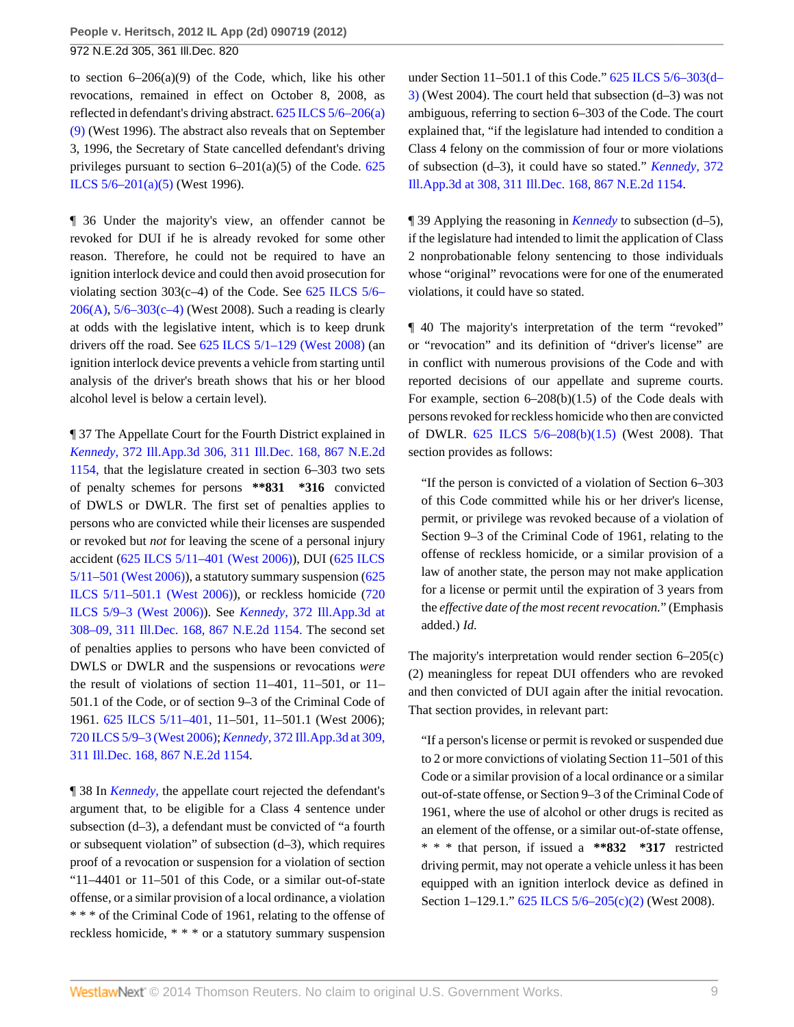to section 6–206(a)(9) of the Code, which, like his other revocations, remained in effect on October 8, 2008, as reflected in defendant's driving abstract. [625 ILCS 5/6–206\(a\)](http://www.westlaw.com/Link/Document/FullText?findType=L&pubNum=1000008&cite=IL625S5%2f6-206&originatingDoc=Ic41d5236c29f11e1b60ab297d3d07bc5&refType=SP&originationContext=document&vr=3.0&rs=cblt1.0&transitionType=DocumentItem&contextData=(sc.Search)#co_pp_8b3b0000958a4) [\(9\)](http://www.westlaw.com/Link/Document/FullText?findType=L&pubNum=1000008&cite=IL625S5%2f6-206&originatingDoc=Ic41d5236c29f11e1b60ab297d3d07bc5&refType=SP&originationContext=document&vr=3.0&rs=cblt1.0&transitionType=DocumentItem&contextData=(sc.Search)#co_pp_8b3b0000958a4) (West 1996). The abstract also reveals that on September 3, 1996, the Secretary of State cancelled defendant's driving privileges pursuant to section  $6-201(a)(5)$  of the Code.  $625$ [ILCS 5/6–201\(a\)\(5\)](http://www.westlaw.com/Link/Document/FullText?findType=L&pubNum=1000008&cite=IL625S5%2f6-201&originatingDoc=Ic41d5236c29f11e1b60ab297d3d07bc5&refType=SP&originationContext=document&vr=3.0&rs=cblt1.0&transitionType=DocumentItem&contextData=(sc.Search)#co_pp_8b3b0000958a4) (West 1996).

¶ 36 Under the majority's view, an offender cannot be revoked for DUI if he is already revoked for some other reason. Therefore, he could not be required to have an ignition interlock device and could then avoid prosecution for violating section  $303(c-4)$  of the Code. See 625 ILCS  $5/6-$ [206\(A\),](http://www.westlaw.com/Link/Document/FullText?findType=L&pubNum=1000008&cite=IL625S5%2f6-206&originatingDoc=Ic41d5236c29f11e1b60ab297d3d07bc5&refType=LQ&originationContext=document&vr=3.0&rs=cblt1.0&transitionType=DocumentItem&contextData=(sc.Search)) [5/6–303\(c–4\)](http://www.westlaw.com/Link/Document/FullText?findType=L&pubNum=1000008&cite=IL625S5%2f6-303&originatingDoc=Ic41d5236c29f11e1b60ab297d3d07bc5&refType=SP&originationContext=document&vr=3.0&rs=cblt1.0&transitionType=DocumentItem&contextData=(sc.Search)#co_pp_b9d6000006844) (West 2008). Such a reading is clearly at odds with the legislative intent, which is to keep drunk drivers off the road. See  $625$  ILCS  $5/1-129$  (West  $2008$ ) (an ignition interlock device prevents a vehicle from starting until analysis of the driver's breath shows that his or her blood alcohol level is below a certain level).

¶ 37 The Appellate Court for the Fourth District explained in *Kennedy,* [372 Ill.App.3d 306, 311 Ill.Dec. 168, 867 N.E.2d](http://www.westlaw.com/Link/Document/FullText?findType=Y&serNum=2011722286&pubNum=578&originationContext=document&vr=3.0&rs=cblt1.0&transitionType=DocumentItem&contextData=(sc.Search)) [1154,](http://www.westlaw.com/Link/Document/FullText?findType=Y&serNum=2011722286&pubNum=578&originationContext=document&vr=3.0&rs=cblt1.0&transitionType=DocumentItem&contextData=(sc.Search)) that the legislature created in section 6–303 two sets of penalty schemes for persons **\*\*831 \*316** convicted of DWLS or DWLR. The first set of penalties applies to persons who are convicted while their licenses are suspended or revoked but *not* for leaving the scene of a personal injury accident [\(625 ILCS 5/11–401 \(West 2006\)](http://www.westlaw.com/Link/Document/FullText?findType=L&pubNum=1000008&cite=IL625S5%2f11-401&originatingDoc=Ic41d5236c29f11e1b60ab297d3d07bc5&refType=LQ&originationContext=document&vr=3.0&rs=cblt1.0&transitionType=DocumentItem&contextData=(sc.Search))), DUI ([625 ILCS](http://www.westlaw.com/Link/Document/FullText?findType=L&pubNum=1000008&cite=IL625S5%2f11-501&originatingDoc=Ic41d5236c29f11e1b60ab297d3d07bc5&refType=LQ&originationContext=document&vr=3.0&rs=cblt1.0&transitionType=DocumentItem&contextData=(sc.Search)) [5/11–501 \(West 2006\)\)](http://www.westlaw.com/Link/Document/FullText?findType=L&pubNum=1000008&cite=IL625S5%2f11-501&originatingDoc=Ic41d5236c29f11e1b60ab297d3d07bc5&refType=LQ&originationContext=document&vr=3.0&rs=cblt1.0&transitionType=DocumentItem&contextData=(sc.Search)), a statutory summary suspension ([625](http://www.westlaw.com/Link/Document/FullText?findType=L&pubNum=1000008&cite=IL625S5%2f11-501.1&originatingDoc=Ic41d5236c29f11e1b60ab297d3d07bc5&refType=LQ&originationContext=document&vr=3.0&rs=cblt1.0&transitionType=DocumentItem&contextData=(sc.Search)) [ILCS 5/11–501.1 \(West 2006\)\)](http://www.westlaw.com/Link/Document/FullText?findType=L&pubNum=1000008&cite=IL625S5%2f11-501.1&originatingDoc=Ic41d5236c29f11e1b60ab297d3d07bc5&refType=LQ&originationContext=document&vr=3.0&rs=cblt1.0&transitionType=DocumentItem&contextData=(sc.Search)), or reckless homicide ([720](http://www.westlaw.com/Link/Document/FullText?findType=L&pubNum=1000008&cite=ILSTC720S5%2f9-3&originatingDoc=Ic41d5236c29f11e1b60ab297d3d07bc5&refType=LQ&originationContext=document&vr=3.0&rs=cblt1.0&transitionType=DocumentItem&contextData=(sc.Search)) [ILCS 5/9–3 \(West 2006\)](http://www.westlaw.com/Link/Document/FullText?findType=L&pubNum=1000008&cite=ILSTC720S5%2f9-3&originatingDoc=Ic41d5236c29f11e1b60ab297d3d07bc5&refType=LQ&originationContext=document&vr=3.0&rs=cblt1.0&transitionType=DocumentItem&contextData=(sc.Search))). See *Kennedy,* [372 Ill.App.3d at](http://www.westlaw.com/Link/Document/FullText?findType=Y&serNum=2011722286&pubNum=578&originationContext=document&vr=3.0&rs=cblt1.0&transitionType=DocumentItem&contextData=(sc.Search)) [308–09, 311 Ill.Dec. 168, 867 N.E.2d 1154.](http://www.westlaw.com/Link/Document/FullText?findType=Y&serNum=2011722286&pubNum=578&originationContext=document&vr=3.0&rs=cblt1.0&transitionType=DocumentItem&contextData=(sc.Search)) The second set of penalties applies to persons who have been convicted of DWLS or DWLR and the suspensions or revocations *were* the result of violations of section 11–401, 11–501, or 11– 501.1 of the Code, or of section 9–3 of the Criminal Code of 1961. [625 ILCS 5/11–401](http://www.westlaw.com/Link/Document/FullText?findType=L&pubNum=1000008&cite=IL625S5%2f11-401&originatingDoc=Ic41d5236c29f11e1b60ab297d3d07bc5&refType=LQ&originationContext=document&vr=3.0&rs=cblt1.0&transitionType=DocumentItem&contextData=(sc.Search)), 11–501, 11–501.1 (West 2006); [720 ILCS 5/9–3 \(West 2006\)](http://www.westlaw.com/Link/Document/FullText?findType=L&pubNum=1000008&cite=ILSTC720S5%2f9-3&originatingDoc=Ic41d5236c29f11e1b60ab297d3d07bc5&refType=LQ&originationContext=document&vr=3.0&rs=cblt1.0&transitionType=DocumentItem&contextData=(sc.Search)); *Kennedy,* [372 Ill.App.3d at 309,](http://www.westlaw.com/Link/Document/FullText?findType=Y&serNum=2011722286&pubNum=578&originationContext=document&vr=3.0&rs=cblt1.0&transitionType=DocumentItem&contextData=(sc.Search)) [311 Ill.Dec. 168, 867 N.E.2d 1154](http://www.westlaw.com/Link/Document/FullText?findType=Y&serNum=2011722286&pubNum=578&originationContext=document&vr=3.0&rs=cblt1.0&transitionType=DocumentItem&contextData=(sc.Search)).

¶ 38 In *[Kennedy,](http://www.westlaw.com/Link/Document/FullText?findType=Y&serNum=2011722286&originationContext=document&vr=3.0&rs=cblt1.0&transitionType=DocumentItem&contextData=(sc.Search))* the appellate court rejected the defendant's argument that, to be eligible for a Class 4 sentence under subsection (d–3), a defendant must be convicted of "a fourth or subsequent violation" of subsection (d–3), which requires proof of a revocation or suspension for a violation of section "11–4401 or 11–501 of this Code, or a similar out-of-state offense, or a similar provision of a local ordinance, a violation \* \* \* of the Criminal Code of 1961, relating to the offense of reckless homicide, \* \* \* or a statutory summary suspension

under Section 11–501.1 of this Code." [625 ILCS 5/6–303\(d–](http://www.westlaw.com/Link/Document/FullText?findType=L&pubNum=1000008&cite=IL625S5%2f6-303&originatingDoc=Ic41d5236c29f11e1b60ab297d3d07bc5&refType=SP&originationContext=document&vr=3.0&rs=cblt1.0&transitionType=DocumentItem&contextData=(sc.Search)#co_pp_c2af0000f5c76) [3\)](http://www.westlaw.com/Link/Document/FullText?findType=L&pubNum=1000008&cite=IL625S5%2f6-303&originatingDoc=Ic41d5236c29f11e1b60ab297d3d07bc5&refType=SP&originationContext=document&vr=3.0&rs=cblt1.0&transitionType=DocumentItem&contextData=(sc.Search)#co_pp_c2af0000f5c76) (West 2004). The court held that subsection (d–3) was not ambiguous, referring to section 6–303 of the Code. The court explained that, "if the legislature had intended to condition a Class 4 felony on the commission of four or more violations of subsection (d–3), it could have so stated." *[Kennedy,](http://www.westlaw.com/Link/Document/FullText?findType=Y&serNum=2011722286&pubNum=578&originationContext=document&vr=3.0&rs=cblt1.0&transitionType=DocumentItem&contextData=(sc.Search))* 372 [Ill.App.3d at 308, 311 Ill.Dec. 168, 867 N.E.2d 1154.](http://www.westlaw.com/Link/Document/FullText?findType=Y&serNum=2011722286&pubNum=578&originationContext=document&vr=3.0&rs=cblt1.0&transitionType=DocumentItem&contextData=(sc.Search))

¶ 39 Applying the reasoning in *[Kennedy](http://www.westlaw.com/Link/Document/FullText?findType=Y&serNum=2011722286&originationContext=document&vr=3.0&rs=cblt1.0&transitionType=DocumentItem&contextData=(sc.Search))* to subsection (d–5), if the legislature had intended to limit the application of Class 2 nonprobationable felony sentencing to those individuals whose "original" revocations were for one of the enumerated violations, it could have so stated.

¶ 40 The majority's interpretation of the term "revoked" or "revocation" and its definition of "driver's license" are in conflict with numerous provisions of the Code and with reported decisions of our appellate and supreme courts. For example, section 6–208(b)(1.5) of the Code deals with persons revoked for reckless homicide who then are convicted of DWLR. [625 ILCS 5/6–208\(b\)\(1.5\)](http://www.westlaw.com/Link/Document/FullText?findType=L&pubNum=1000008&cite=IL625S5%2f6-208&originatingDoc=Ic41d5236c29f11e1b60ab297d3d07bc5&refType=SP&originationContext=document&vr=3.0&rs=cblt1.0&transitionType=DocumentItem&contextData=(sc.Search)#co_pp_a83b000018c76) (West 2008). That section provides as follows:

"If the person is convicted of a violation of Section 6–303 of this Code committed while his or her driver's license, permit, or privilege was revoked because of a violation of Section 9–3 of the Criminal Code of 1961, relating to the offense of reckless homicide, or a similar provision of a law of another state, the person may not make application for a license or permit until the expiration of 3 years from the *effective date of the most recent revocation.*" (Emphasis added.) *Id.*

The majority's interpretation would render section 6–205(c) (2) meaningless for repeat DUI offenders who are revoked and then convicted of DUI again after the initial revocation. That section provides, in relevant part:

"If a person's license or permit is revoked or suspended due to 2 or more convictions of violating Section 11–501 of this Code or a similar provision of a local ordinance or a similar out-of-state offense, or Section 9–3 of the Criminal Code of 1961, where the use of alcohol or other drugs is recited as an element of the offense, or a similar out-of-state offense, \* \* \* that person, if issued a **\*\*832 \*317** restricted driving permit, may not operate a vehicle unless it has been equipped with an ignition interlock device as defined in Section 1–129.1." [625 ILCS 5/6–205\(c\)\(2\)](http://www.westlaw.com/Link/Document/FullText?findType=L&pubNum=1000008&cite=IL625S5%2f6-205&originatingDoc=Ic41d5236c29f11e1b60ab297d3d07bc5&refType=SP&originationContext=document&vr=3.0&rs=cblt1.0&transitionType=DocumentItem&contextData=(sc.Search)#co_pp_fcf30000ea9c4) (West 2008).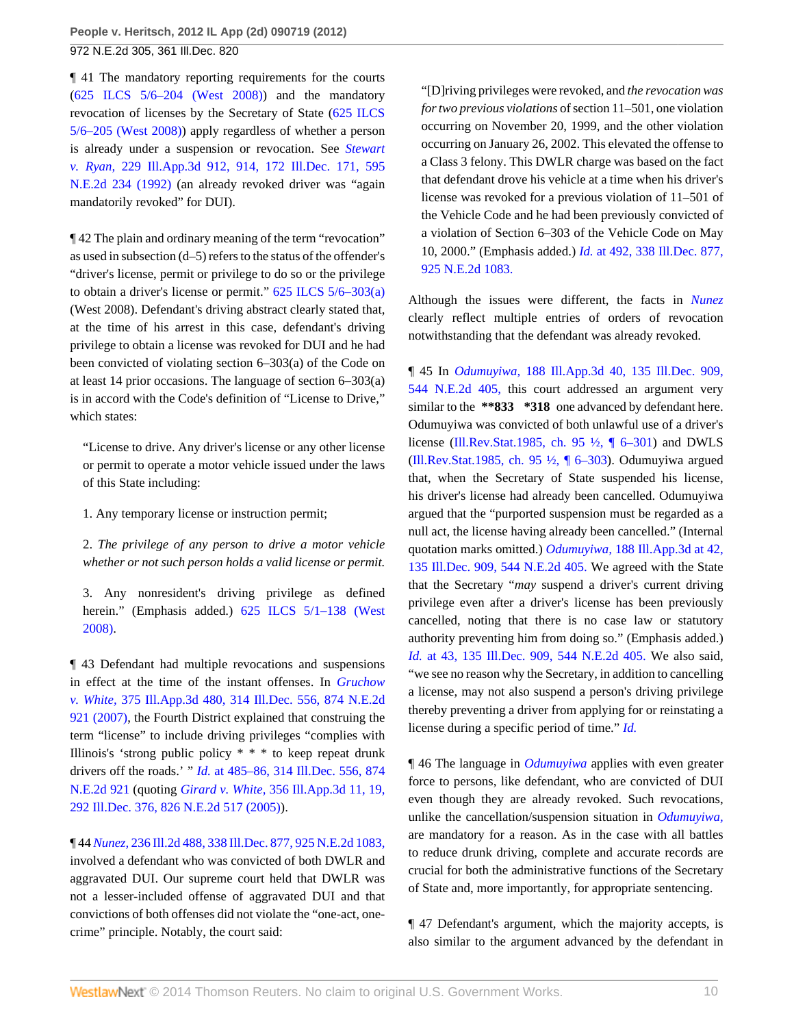¶ 41 The mandatory reporting requirements for the courts [\(625 ILCS 5/6–204 \(West 2008\)\)](http://www.westlaw.com/Link/Document/FullText?findType=L&pubNum=1000008&cite=IL625S5%2f6-204&originatingDoc=Ic41d5236c29f11e1b60ab297d3d07bc5&refType=LQ&originationContext=document&vr=3.0&rs=cblt1.0&transitionType=DocumentItem&contextData=(sc.Search)) and the mandatory revocation of licenses by the Secretary of State ([625 ILCS](http://www.westlaw.com/Link/Document/FullText?findType=L&pubNum=1000008&cite=IL625S5%2f6-205&originatingDoc=Ic41d5236c29f11e1b60ab297d3d07bc5&refType=LQ&originationContext=document&vr=3.0&rs=cblt1.0&transitionType=DocumentItem&contextData=(sc.Search)) [5/6–205 \(West 2008\)](http://www.westlaw.com/Link/Document/FullText?findType=L&pubNum=1000008&cite=IL625S5%2f6-205&originatingDoc=Ic41d5236c29f11e1b60ab297d3d07bc5&refType=LQ&originationContext=document&vr=3.0&rs=cblt1.0&transitionType=DocumentItem&contextData=(sc.Search))) apply regardless of whether a person is already under a suspension or revocation. See *[Stewart](http://www.westlaw.com/Link/Document/FullText?findType=Y&serNum=1992113558&pubNum=578&originationContext=document&vr=3.0&rs=cblt1.0&transitionType=DocumentItem&contextData=(sc.Search)) v. Ryan,* [229 Ill.App.3d 912, 914, 172 Ill.Dec. 171, 595](http://www.westlaw.com/Link/Document/FullText?findType=Y&serNum=1992113558&pubNum=578&originationContext=document&vr=3.0&rs=cblt1.0&transitionType=DocumentItem&contextData=(sc.Search)) [N.E.2d 234 \(1992\)](http://www.westlaw.com/Link/Document/FullText?findType=Y&serNum=1992113558&pubNum=578&originationContext=document&vr=3.0&rs=cblt1.0&transitionType=DocumentItem&contextData=(sc.Search)) (an already revoked driver was "again mandatorily revoked" for DUI).

¶ 42 The plain and ordinary meaning of the term "revocation" as used in subsection (d–5) refers to the status of the offender's "driver's license, permit or privilege to do so or the privilege to obtain a driver's license or permit." [625 ILCS 5/6–303\(a\)](http://www.westlaw.com/Link/Document/FullText?findType=L&pubNum=1000008&cite=IL625S5%2f6-303&originatingDoc=Ic41d5236c29f11e1b60ab297d3d07bc5&refType=SP&originationContext=document&vr=3.0&rs=cblt1.0&transitionType=DocumentItem&contextData=(sc.Search)#co_pp_8b3b0000958a4) (West 2008). Defendant's driving abstract clearly stated that, at the time of his arrest in this case, defendant's driving privilege to obtain a license was revoked for DUI and he had been convicted of violating section 6–303(a) of the Code on at least 14 prior occasions. The language of section 6–303(a) is in accord with the Code's definition of "License to Drive," which states:

"License to drive. Any driver's license or any other license or permit to operate a motor vehicle issued under the laws of this State including:

1. Any temporary license or instruction permit;

2. *The privilege of any person to drive a motor vehicle whether or not such person holds a valid license or permit.*

3. Any nonresident's driving privilege as defined herein." (Emphasis added.) 625 ILCS 5/1-138 (West [2008\)](http://www.westlaw.com/Link/Document/FullText?findType=L&pubNum=1000008&cite=IL625S5%2f1-138&originatingDoc=Ic41d5236c29f11e1b60ab297d3d07bc5&refType=LQ&originationContext=document&vr=3.0&rs=cblt1.0&transitionType=DocumentItem&contextData=(sc.Search)).

¶ 43 Defendant had multiple revocations and suspensions in effect at the time of the instant offenses. In *[Gruchow](http://www.westlaw.com/Link/Document/FullText?findType=Y&serNum=2013083074&pubNum=578&originationContext=document&vr=3.0&rs=cblt1.0&transitionType=DocumentItem&contextData=(sc.Search)) v. White,* [375 Ill.App.3d 480, 314 Ill.Dec. 556, 874 N.E.2d](http://www.westlaw.com/Link/Document/FullText?findType=Y&serNum=2013083074&pubNum=578&originationContext=document&vr=3.0&rs=cblt1.0&transitionType=DocumentItem&contextData=(sc.Search)) [921 \(2007\)](http://www.westlaw.com/Link/Document/FullText?findType=Y&serNum=2013083074&pubNum=578&originationContext=document&vr=3.0&rs=cblt1.0&transitionType=DocumentItem&contextData=(sc.Search)), the Fourth District explained that construing the term "license" to include driving privileges "complies with Illinois's 'strong public policy \* \* \* to keep repeat drunk drivers off the roads.' " *Id.* [at 485–86, 314 Ill.Dec. 556, 874](http://www.westlaw.com/Link/Document/FullText?findType=Y&serNum=2013083074&pubNum=578&originationContext=document&vr=3.0&rs=cblt1.0&transitionType=DocumentItem&contextData=(sc.Search)) [N.E.2d 921](http://www.westlaw.com/Link/Document/FullText?findType=Y&serNum=2013083074&pubNum=578&originationContext=document&vr=3.0&rs=cblt1.0&transitionType=DocumentItem&contextData=(sc.Search)) (quoting *Girard v. White,* [356 Ill.App.3d 11, 19,](http://www.westlaw.com/Link/Document/FullText?findType=Y&serNum=2006345859&pubNum=578&originationContext=document&vr=3.0&rs=cblt1.0&transitionType=DocumentItem&contextData=(sc.Search)) [292 Ill.Dec. 376, 826 N.E.2d 517 \(2005\)](http://www.westlaw.com/Link/Document/FullText?findType=Y&serNum=2006345859&pubNum=578&originationContext=document&vr=3.0&rs=cblt1.0&transitionType=DocumentItem&contextData=(sc.Search))).

¶ 44 *Nunez,* [236 Ill.2d 488, 338 Ill.Dec. 877, 925 N.E.2d 1083,](http://www.westlaw.com/Link/Document/FullText?findType=Y&serNum=2021569172&pubNum=578&originationContext=document&vr=3.0&rs=cblt1.0&transitionType=DocumentItem&contextData=(sc.Search)) involved a defendant who was convicted of both DWLR and aggravated DUI. Our supreme court held that DWLR was not a lesser-included offense of aggravated DUI and that convictions of both offenses did not violate the "one-act, onecrime" principle. Notably, the court said:

"[D]riving privileges were revoked, and *the revocation was for two previous violations* of section 11–501, one violation occurring on November 20, 1999, and the other violation occurring on January 26, 2002. This elevated the offense to a Class 3 felony. This DWLR charge was based on the fact that defendant drove his vehicle at a time when his driver's license was revoked for a previous violation of 11–501 of the Vehicle Code and he had been previously convicted of a violation of Section 6–303 of the Vehicle Code on May 10, 2000." (Emphasis added.) *Id.* [at 492, 338 Ill.Dec. 877,](http://www.westlaw.com/Link/Document/FullText?findType=Y&serNum=2021569172&pubNum=578&originationContext=document&vr=3.0&rs=cblt1.0&transitionType=DocumentItem&contextData=(sc.Search)) [925 N.E.2d 1083.](http://www.westlaw.com/Link/Document/FullText?findType=Y&serNum=2021569172&pubNum=578&originationContext=document&vr=3.0&rs=cblt1.0&transitionType=DocumentItem&contextData=(sc.Search))

Although the issues were different, the facts in *[Nunez](http://www.westlaw.com/Link/Document/FullText?findType=Y&serNum=2021569172&originationContext=document&vr=3.0&rs=cblt1.0&transitionType=DocumentItem&contextData=(sc.Search))* clearly reflect multiple entries of orders of revocation notwithstanding that the defendant was already revoked.

¶ 45 In *Odumuyiwa,* [188 Ill.App.3d 40, 135 Ill.Dec. 909,](http://www.westlaw.com/Link/Document/FullText?findType=Y&serNum=1989141225&pubNum=578&originationContext=document&vr=3.0&rs=cblt1.0&transitionType=DocumentItem&contextData=(sc.Search)) [544 N.E.2d 405,](http://www.westlaw.com/Link/Document/FullText?findType=Y&serNum=1989141225&pubNum=578&originationContext=document&vr=3.0&rs=cblt1.0&transitionType=DocumentItem&contextData=(sc.Search)) this court addressed an argument very similar to the **\*\*833 \*318** one advanced by defendant here. Odumuyiwa was convicted of both unlawful use of a driver's license [\(Ill.Rev.Stat.1985, ch. 95 ½, ¶ 6–301](http://www.westlaw.com/Link/Document/FullText?findType=L&pubNum=1000008&cite=IL951%2f2P6-301&originatingDoc=Ic41d5236c29f11e1b60ab297d3d07bc5&refType=LQ&originationContext=document&vr=3.0&rs=cblt1.0&transitionType=DocumentItem&contextData=(sc.Search))) and DWLS [\(Ill.Rev.Stat.1985, ch. 95 ½, ¶ 6–303](http://www.westlaw.com/Link/Document/FullText?findType=L&pubNum=1000008&cite=IL951%2f2P6-303&originatingDoc=Ic41d5236c29f11e1b60ab297d3d07bc5&refType=LQ&originationContext=document&vr=3.0&rs=cblt1.0&transitionType=DocumentItem&contextData=(sc.Search))). Odumuyiwa argued that, when the Secretary of State suspended his license, his driver's license had already been cancelled. Odumuyiwa argued that the "purported suspension must be regarded as a null act, the license having already been cancelled." (Internal quotation marks omitted.) *Odumuyiwa,* [188 Ill.App.3d at 42,](http://www.westlaw.com/Link/Document/FullText?findType=Y&serNum=1989141225&pubNum=578&originationContext=document&vr=3.0&rs=cblt1.0&transitionType=DocumentItem&contextData=(sc.Search)) [135 Ill.Dec. 909, 544 N.E.2d 405.](http://www.westlaw.com/Link/Document/FullText?findType=Y&serNum=1989141225&pubNum=578&originationContext=document&vr=3.0&rs=cblt1.0&transitionType=DocumentItem&contextData=(sc.Search)) We agreed with the State that the Secretary "*may* suspend a driver's current driving privilege even after a driver's license has been previously cancelled, noting that there is no case law or statutory authority preventing him from doing so." (Emphasis added.) *Id.* [at 43, 135 Ill.Dec. 909, 544 N.E.2d 405.](http://www.westlaw.com/Link/Document/FullText?findType=Y&serNum=1989141225&pubNum=578&originationContext=document&vr=3.0&rs=cblt1.0&transitionType=DocumentItem&contextData=(sc.Search)) We also said, "we see no reason why the Secretary, in addition to cancelling a license, may not also suspend a person's driving privilege thereby preventing a driver from applying for or reinstating a license during a specific period of time." *[Id.](http://www.westlaw.com/Link/Document/FullText?findType=Y&serNum=1989141225&originationContext=document&vr=3.0&rs=cblt1.0&transitionType=DocumentItem&contextData=(sc.Search))*

¶ 46 The language in *[Odumuyiwa](http://www.westlaw.com/Link/Document/FullText?findType=Y&serNum=1989141225&originationContext=document&vr=3.0&rs=cblt1.0&transitionType=DocumentItem&contextData=(sc.Search))* applies with even greater force to persons, like defendant, who are convicted of DUI even though they are already revoked. Such revocations, unlike the cancellation/suspension situation in *[Odumuyiwa,](http://www.westlaw.com/Link/Document/FullText?findType=Y&serNum=1989141225&originationContext=document&vr=3.0&rs=cblt1.0&transitionType=DocumentItem&contextData=(sc.Search))* are mandatory for a reason. As in the case with all battles to reduce drunk driving, complete and accurate records are crucial for both the administrative functions of the Secretary of State and, more importantly, for appropriate sentencing.

¶ 47 Defendant's argument, which the majority accepts, is also similar to the argument advanced by the defendant in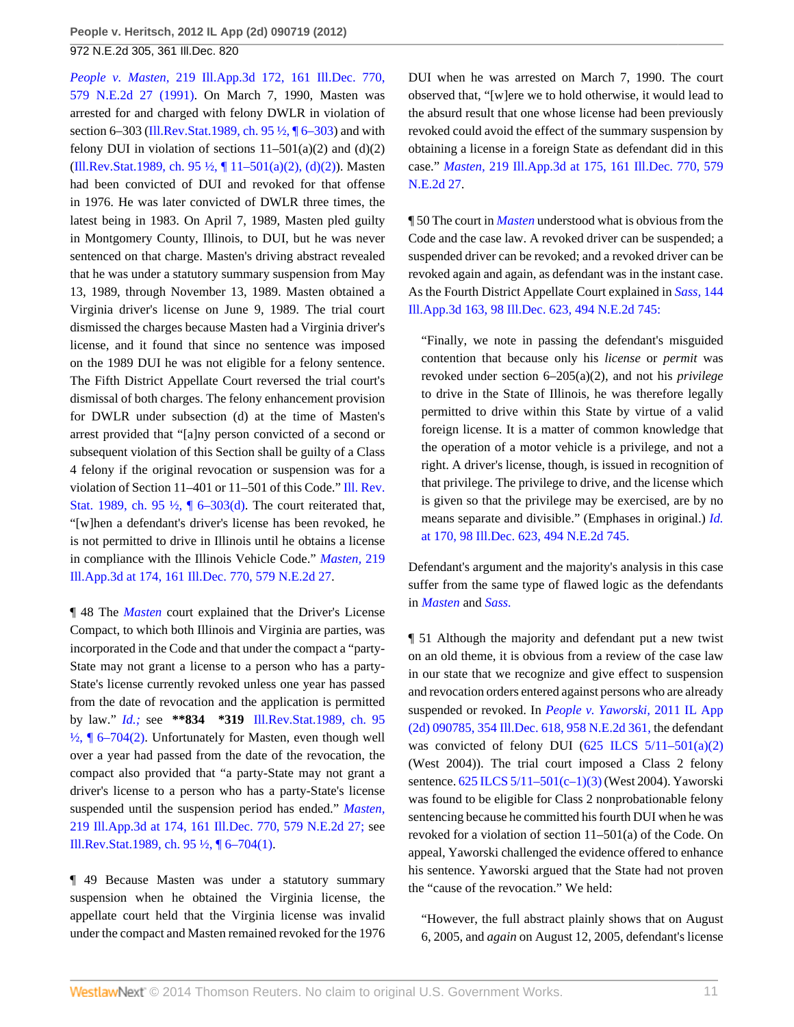*People v. Masten,* [219 Ill.App.3d 172, 161 Ill.Dec. 770,](http://www.westlaw.com/Link/Document/FullText?findType=Y&serNum=1991162609&pubNum=578&originationContext=document&vr=3.0&rs=cblt1.0&transitionType=DocumentItem&contextData=(sc.Search)) [579 N.E.2d 27 \(1991\).](http://www.westlaw.com/Link/Document/FullText?findType=Y&serNum=1991162609&pubNum=578&originationContext=document&vr=3.0&rs=cblt1.0&transitionType=DocumentItem&contextData=(sc.Search)) On March 7, 1990, Masten was arrested for and charged with felony DWLR in violation of section 6–303 ([Ill.Rev.Stat.1989, ch. 95 ½, ¶ 6–303](http://www.westlaw.com/Link/Document/FullText?findType=L&pubNum=1000008&cite=IL951%2f2P6-303&originatingDoc=Ic41d5236c29f11e1b60ab297d3d07bc5&refType=LQ&originationContext=document&vr=3.0&rs=cblt1.0&transitionType=DocumentItem&contextData=(sc.Search))) and with felony DUI in violation of sections  $11-501(a)(2)$  and  $(d)(2)$ [\(Ill.Rev.Stat.1989, ch. 95 ½, ¶ 11–501\(a\)\(2\), \(d\)\(2\)](http://www.westlaw.com/Link/Document/FullText?findType=L&pubNum=1000008&cite=IL951%2f2P11-501&originatingDoc=Ic41d5236c29f11e1b60ab297d3d07bc5&refType=LQ&originationContext=document&vr=3.0&rs=cblt1.0&transitionType=DocumentItem&contextData=(sc.Search))). Masten had been convicted of DUI and revoked for that offense in 1976. He was later convicted of DWLR three times, the latest being in 1983. On April 7, 1989, Masten pled guilty in Montgomery County, Illinois, to DUI, but he was never sentenced on that charge. Masten's driving abstract revealed that he was under a statutory summary suspension from May 13, 1989, through November 13, 1989. Masten obtained a Virginia driver's license on June 9, 1989. The trial court dismissed the charges because Masten had a Virginia driver's license, and it found that since no sentence was imposed on the 1989 DUI he was not eligible for a felony sentence. The Fifth District Appellate Court reversed the trial court's dismissal of both charges. The felony enhancement provision for DWLR under subsection (d) at the time of Masten's arrest provided that "[a]ny person convicted of a second or subsequent violation of this Section shall be guilty of a Class 4 felony if the original revocation or suspension was for a violation of Section 11–401 or 11–501 of this Code." [Ill. Rev.](http://www.westlaw.com/Link/Document/FullText?findType=L&pubNum=1000008&cite=IL951%2f2P6-303&originatingDoc=Ic41d5236c29f11e1b60ab297d3d07bc5&refType=SP&originationContext=document&vr=3.0&rs=cblt1.0&transitionType=DocumentItem&contextData=(sc.Search)#co_pp_5ba1000067d06) [Stat. 1989, ch. 95 ½, ¶ 6–303\(d\).](http://www.westlaw.com/Link/Document/FullText?findType=L&pubNum=1000008&cite=IL951%2f2P6-303&originatingDoc=Ic41d5236c29f11e1b60ab297d3d07bc5&refType=SP&originationContext=document&vr=3.0&rs=cblt1.0&transitionType=DocumentItem&contextData=(sc.Search)#co_pp_5ba1000067d06) The court reiterated that, "[w]hen a defendant's driver's license has been revoked, he is not permitted to drive in Illinois until he obtains a license in compliance with the Illinois Vehicle Code." *[Masten,](http://www.westlaw.com/Link/Document/FullText?findType=Y&serNum=1991162609&pubNum=578&originationContext=document&vr=3.0&rs=cblt1.0&transitionType=DocumentItem&contextData=(sc.Search))* 219 [Ill.App.3d at 174, 161 Ill.Dec. 770, 579 N.E.2d 27.](http://www.westlaw.com/Link/Document/FullText?findType=Y&serNum=1991162609&pubNum=578&originationContext=document&vr=3.0&rs=cblt1.0&transitionType=DocumentItem&contextData=(sc.Search))

¶ 48 The *[Masten](http://www.westlaw.com/Link/Document/FullText?findType=Y&serNum=1991162609&originationContext=document&vr=3.0&rs=cblt1.0&transitionType=DocumentItem&contextData=(sc.Search))* court explained that the Driver's License Compact, to which both Illinois and Virginia are parties, was incorporated in the Code and that under the compact a "party-State may not grant a license to a person who has a party-State's license currently revoked unless one year has passed from the date of revocation and the application is permitted by law." *[Id.;](http://www.westlaw.com/Link/Document/FullText?findType=Y&serNum=1991162609&originationContext=document&vr=3.0&rs=cblt1.0&transitionType=DocumentItem&contextData=(sc.Search))* see **\*\*834 \*319** [Ill.Rev.Stat.1989, ch. 95](http://www.westlaw.com/Link/Document/FullText?findType=L&pubNum=1000008&cite=IL951%2f2P6-704&originatingDoc=Ic41d5236c29f11e1b60ab297d3d07bc5&refType=LQ&originationContext=document&vr=3.0&rs=cblt1.0&transitionType=DocumentItem&contextData=(sc.Search))  $\frac{1}{2}$ , [ 6–704(2). Unfortunately for Masten, even though well over a year had passed from the date of the revocation, the compact also provided that "a party-State may not grant a driver's license to a person who has a party-State's license suspended until the suspension period has ended." *[Masten,](http://www.westlaw.com/Link/Document/FullText?findType=Y&serNum=1991162609&pubNum=578&originationContext=document&vr=3.0&rs=cblt1.0&transitionType=DocumentItem&contextData=(sc.Search))* [219 Ill.App.3d at 174, 161 Ill.Dec. 770, 579 N.E.2d 27;](http://www.westlaw.com/Link/Document/FullText?findType=Y&serNum=1991162609&pubNum=578&originationContext=document&vr=3.0&rs=cblt1.0&transitionType=DocumentItem&contextData=(sc.Search)) see [Ill.Rev.Stat.1989, ch. 95 ½, ¶ 6–704\(1\)](http://www.westlaw.com/Link/Document/FullText?findType=L&pubNum=1000008&cite=IL951%2f2P6-704&originatingDoc=Ic41d5236c29f11e1b60ab297d3d07bc5&refType=LQ&originationContext=document&vr=3.0&rs=cblt1.0&transitionType=DocumentItem&contextData=(sc.Search)).

¶ 49 Because Masten was under a statutory summary suspension when he obtained the Virginia license, the appellate court held that the Virginia license was invalid under the compact and Masten remained revoked for the 1976 DUI when he was arrested on March 7, 1990. The court observed that, "[w]ere we to hold otherwise, it would lead to the absurd result that one whose license had been previously revoked could avoid the effect of the summary suspension by obtaining a license in a foreign State as defendant did in this case." *Masten,* [219 Ill.App.3d at 175, 161 Ill.Dec. 770, 579](http://www.westlaw.com/Link/Document/FullText?findType=Y&serNum=1991162609&pubNum=578&originationContext=document&vr=3.0&rs=cblt1.0&transitionType=DocumentItem&contextData=(sc.Search)) [N.E.2d 27.](http://www.westlaw.com/Link/Document/FullText?findType=Y&serNum=1991162609&pubNum=578&originationContext=document&vr=3.0&rs=cblt1.0&transitionType=DocumentItem&contextData=(sc.Search))

¶ 50 The court in *[Masten](http://www.westlaw.com/Link/Document/FullText?findType=Y&serNum=1991162609&originationContext=document&vr=3.0&rs=cblt1.0&transitionType=DocumentItem&contextData=(sc.Search))* understood what is obvious from the Code and the case law. A revoked driver can be suspended; a suspended driver can be revoked; and a revoked driver can be revoked again and again, as defendant was in the instant case. As the Fourth District Appellate Court explained in *[Sass,](http://www.westlaw.com/Link/Document/FullText?findType=Y&serNum=1986129498&pubNum=578&originationContext=document&vr=3.0&rs=cblt1.0&transitionType=DocumentItem&contextData=(sc.Search))* 144 [Ill.App.3d 163, 98 Ill.Dec. 623, 494 N.E.2d 745:](http://www.westlaw.com/Link/Document/FullText?findType=Y&serNum=1986129498&pubNum=578&originationContext=document&vr=3.0&rs=cblt1.0&transitionType=DocumentItem&contextData=(sc.Search))

"Finally, we note in passing the defendant's misguided contention that because only his *license* or *permit* was revoked under section 6–205(a)(2), and not his *privilege* to drive in the State of Illinois, he was therefore legally permitted to drive within this State by virtue of a valid foreign license. It is a matter of common knowledge that the operation of a motor vehicle is a privilege, and not a right. A driver's license, though, is issued in recognition of that privilege. The privilege to drive, and the license which is given so that the privilege may be exercised, are by no means separate and divisible." (Emphases in original.) *[Id.](http://www.westlaw.com/Link/Document/FullText?findType=Y&serNum=1986129498&pubNum=578&originationContext=document&vr=3.0&rs=cblt1.0&transitionType=DocumentItem&contextData=(sc.Search))* [at 170, 98 Ill.Dec. 623, 494 N.E.2d 745.](http://www.westlaw.com/Link/Document/FullText?findType=Y&serNum=1986129498&pubNum=578&originationContext=document&vr=3.0&rs=cblt1.0&transitionType=DocumentItem&contextData=(sc.Search))

Defendant's argument and the majority's analysis in this case suffer from the same type of flawed logic as the defendants in *[Masten](http://www.westlaw.com/Link/Document/FullText?findType=Y&serNum=1991162609&originationContext=document&vr=3.0&rs=cblt1.0&transitionType=DocumentItem&contextData=(sc.Search))* and *[Sass.](http://www.westlaw.com/Link/Document/FullText?findType=Y&serNum=1986129498&originationContext=document&vr=3.0&rs=cblt1.0&transitionType=DocumentItem&contextData=(sc.Search))*

¶ 51 Although the majority and defendant put a new twist on an old theme, it is obvious from a review of the case law in our state that we recognize and give effect to suspension and revocation orders entered against persons who are already suspended or revoked. In *[People v. Yaworski,](http://www.westlaw.com/Link/Document/FullText?findType=Y&serNum=2026240716&pubNum=578&originationContext=document&vr=3.0&rs=cblt1.0&transitionType=DocumentItem&contextData=(sc.Search))* 2011 IL App [\(2d\) 090785, 354 Ill.Dec. 618, 958 N.E.2d 361,](http://www.westlaw.com/Link/Document/FullText?findType=Y&serNum=2026240716&pubNum=578&originationContext=document&vr=3.0&rs=cblt1.0&transitionType=DocumentItem&contextData=(sc.Search)) the defendant was convicted of felony DUI  $(625 \text{ ILCS } 5/11-501(a)(2))$ (West 2004)). The trial court imposed a Class 2 felony sentence. [625 ILCS 5/11–501\(c–1\)\(3\)](http://www.westlaw.com/Link/Document/FullText?findType=L&pubNum=1000008&cite=IL625S5%2f11-501&originatingDoc=Ic41d5236c29f11e1b60ab297d3d07bc5&refType=LQ&originationContext=document&vr=3.0&rs=cblt1.0&transitionType=DocumentItem&contextData=(sc.Search)) (West 2004). Yaworski was found to be eligible for Class 2 nonprobationable felony sentencing because he committed his fourth DUI when he was revoked for a violation of section 11–501(a) of the Code. On appeal, Yaworski challenged the evidence offered to enhance his sentence. Yaworski argued that the State had not proven the "cause of the revocation." We held:

"However, the full abstract plainly shows that on August 6, 2005, and *again* on August 12, 2005, defendant's license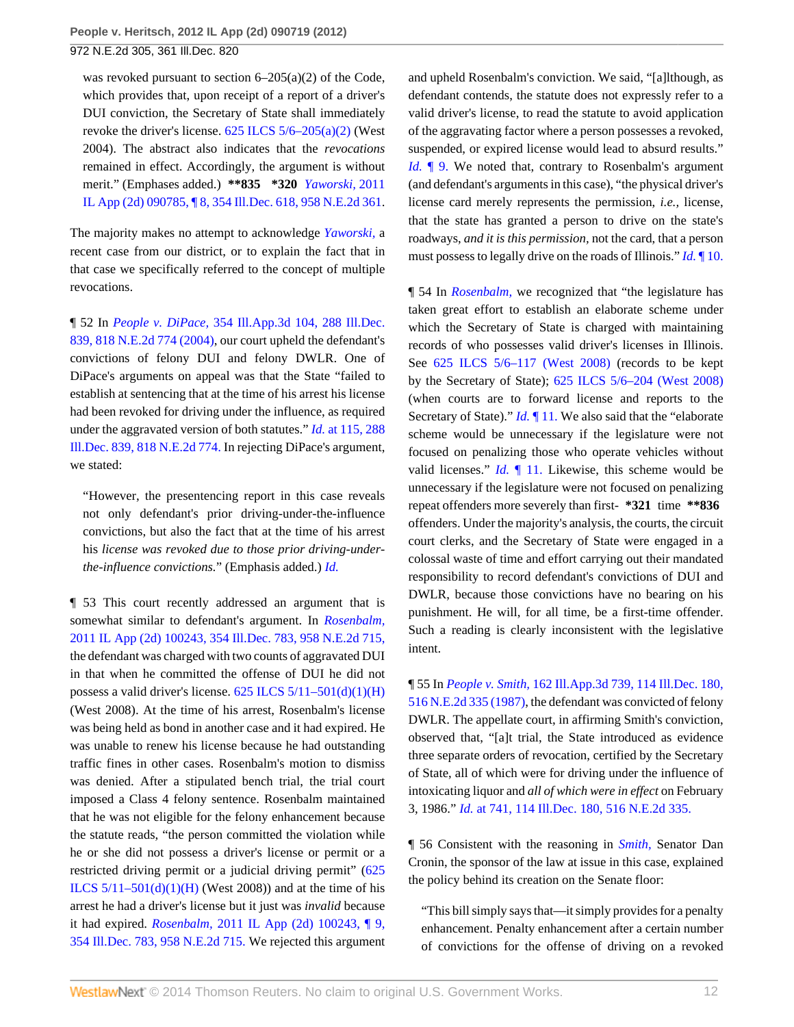was revoked pursuant to section 6–205(a)(2) of the Code, which provides that, upon receipt of a report of a driver's DUI conviction, the Secretary of State shall immediately revoke the driver's license.  $625$  ILCS  $5/6-205(a)(2)$  (West 2004). The abstract also indicates that the *revocations* remained in effect. Accordingly, the argument is without merit." (Emphases added.) **\*\*835 \*320** *[Yaworski,](http://www.westlaw.com/Link/Document/FullText?findType=Y&serNum=2026240716&pubNum=578&originationContext=document&vr=3.0&rs=cblt1.0&transitionType=DocumentItem&contextData=(sc.Search))* 2011 [IL App \(2d\) 090785, ¶ 8, 354 Ill.Dec. 618, 958 N.E.2d 361](http://www.westlaw.com/Link/Document/FullText?findType=Y&serNum=2026240716&pubNum=578&originationContext=document&vr=3.0&rs=cblt1.0&transitionType=DocumentItem&contextData=(sc.Search)).

The majority makes no attempt to acknowledge *[Yaworski,](http://www.westlaw.com/Link/Document/FullText?findType=Y&serNum=2026240716&originationContext=document&vr=3.0&rs=cblt1.0&transitionType=DocumentItem&contextData=(sc.Search))* a recent case from our district, or to explain the fact that in that case we specifically referred to the concept of multiple revocations.

¶ 52 In *People v. DiPace,* [354 Ill.App.3d 104, 288 Ill.Dec.](http://www.westlaw.com/Link/Document/FullText?findType=Y&serNum=2005236171&pubNum=578&originationContext=document&vr=3.0&rs=cblt1.0&transitionType=DocumentItem&contextData=(sc.Search)) [839, 818 N.E.2d 774 \(2004\)](http://www.westlaw.com/Link/Document/FullText?findType=Y&serNum=2005236171&pubNum=578&originationContext=document&vr=3.0&rs=cblt1.0&transitionType=DocumentItem&contextData=(sc.Search)), our court upheld the defendant's convictions of felony DUI and felony DWLR. One of DiPace's arguments on appeal was that the State "failed to establish at sentencing that at the time of his arrest his license had been revoked for driving under the influence, as required under the aggravated version of both statutes." *Id.* [at 115, 288](http://www.westlaw.com/Link/Document/FullText?findType=Y&serNum=2005236171&pubNum=578&originationContext=document&vr=3.0&rs=cblt1.0&transitionType=DocumentItem&contextData=(sc.Search)) [Ill.Dec. 839, 818 N.E.2d 774.](http://www.westlaw.com/Link/Document/FullText?findType=Y&serNum=2005236171&pubNum=578&originationContext=document&vr=3.0&rs=cblt1.0&transitionType=DocumentItem&contextData=(sc.Search)) In rejecting DiPace's argument, we stated:

"However, the presentencing report in this case reveals not only defendant's prior driving-under-the-influence convictions, but also the fact that at the time of his arrest his *license was revoked due to those prior driving-underthe-influence convictions.*" (Emphasis added.) *[Id.](http://www.westlaw.com/Link/Document/FullText?findType=Y&serNum=2005236171&originationContext=document&vr=3.0&rs=cblt1.0&transitionType=DocumentItem&contextData=(sc.Search))*

¶ 53 This court recently addressed an argument that is somewhat similar to defendant's argument. In *[Rosenbalm,](http://www.westlaw.com/Link/Document/FullText?findType=Y&serNum=2026240719&pubNum=578&originationContext=document&vr=3.0&rs=cblt1.0&transitionType=DocumentItem&contextData=(sc.Search))* [2011 IL App \(2d\) 100243, 354 Ill.Dec. 783, 958 N.E.2d 715,](http://www.westlaw.com/Link/Document/FullText?findType=Y&serNum=2026240719&pubNum=578&originationContext=document&vr=3.0&rs=cblt1.0&transitionType=DocumentItem&contextData=(sc.Search)) the defendant was charged with two counts of aggravated DUI in that when he committed the offense of DUI he did not possess a valid driver's license.  $625$  ILCS  $5/11-501(d)(1)(H)$ (West 2008). At the time of his arrest, Rosenbalm's license was being held as bond in another case and it had expired. He was unable to renew his license because he had outstanding traffic fines in other cases. Rosenbalm's motion to dismiss was denied. After a stipulated bench trial, the trial court imposed a Class 4 felony sentence. Rosenbalm maintained that he was not eligible for the felony enhancement because the statute reads, "the person committed the violation while he or she did not possess a driver's license or permit or a restricted driving permit or a judicial driving permit" ([625](http://www.westlaw.com/Link/Document/FullText?findType=L&pubNum=1000008&cite=IL625S5%2f11-501&originatingDoc=Ic41d5236c29f11e1b60ab297d3d07bc5&refType=SP&originationContext=document&vr=3.0&rs=cblt1.0&transitionType=DocumentItem&contextData=(sc.Search)#co_pp_e7b70000c8974) ILCS  $5/11-501(d)(1)(H)$  (West 2008)) and at the time of his arrest he had a driver's license but it just was *invalid* because it had expired. *Rosenbalm,* [2011 IL App \(2d\) 100243, ¶ 9,](http://www.westlaw.com/Link/Document/FullText?findType=Y&serNum=2026240719&pubNum=578&originationContext=document&vr=3.0&rs=cblt1.0&transitionType=DocumentItem&contextData=(sc.Search)) [354 Ill.Dec. 783, 958 N.E.2d 715.](http://www.westlaw.com/Link/Document/FullText?findType=Y&serNum=2026240719&pubNum=578&originationContext=document&vr=3.0&rs=cblt1.0&transitionType=DocumentItem&contextData=(sc.Search)) We rejected this argument

and upheld Rosenbalm's conviction. We said, "[a]lthough, as defendant contends, the statute does not expressly refer to a valid driver's license, to read the statute to avoid application of the aggravating factor where a person possesses a revoked, suspended, or expired license would lead to absurd results." *Id.* **[9.** We noted that, contrary to Rosenbalm's argument (and defendant's arguments in this case), "the physical driver's license card merely represents the permission, *i.e.,* license, that the state has granted a person to drive on the state's roadways, *and it is this permission,* not the card, that a person must possess to legally drive on the roads of Illinois." *Id.* [¶ 10.](http://www.westlaw.com/Link/Document/FullText?findType=Y&serNum=2026240719&originationContext=document&vr=3.0&rs=cblt1.0&transitionType=DocumentItem&contextData=(sc.Search))

¶ 54 In *[Rosenbalm,](http://www.westlaw.com/Link/Document/FullText?findType=Y&serNum=2026240719&originationContext=document&vr=3.0&rs=cblt1.0&transitionType=DocumentItem&contextData=(sc.Search))* we recognized that "the legislature has taken great effort to establish an elaborate scheme under which the Secretary of State is charged with maintaining records of who possesses valid driver's licenses in Illinois. See [625 ILCS 5/6–117 \(West 2008\)](http://www.westlaw.com/Link/Document/FullText?findType=L&pubNum=1000008&cite=IL625S5%2f6-117&originatingDoc=Ic41d5236c29f11e1b60ab297d3d07bc5&refType=LQ&originationContext=document&vr=3.0&rs=cblt1.0&transitionType=DocumentItem&contextData=(sc.Search)) (records to be kept by the Secretary of State); [625 ILCS 5/6–204 \(West 2008\)](http://www.westlaw.com/Link/Document/FullText?findType=L&pubNum=1000008&cite=IL625S5%2f6-204&originatingDoc=Ic41d5236c29f11e1b60ab297d3d07bc5&refType=LQ&originationContext=document&vr=3.0&rs=cblt1.0&transitionType=DocumentItem&contextData=(sc.Search)) (when courts are to forward license and reports to the Secretary of State)." *Id.* [¶ 11.](http://www.westlaw.com/Link/Document/FullText?findType=Y&serNum=2026240719&originationContext=document&vr=3.0&rs=cblt1.0&transitionType=DocumentItem&contextData=(sc.Search)) We also said that the "elaborate scheme would be unnecessary if the legislature were not focused on penalizing those who operate vehicles without valid licenses." *Id.* [¶ 11.](http://www.westlaw.com/Link/Document/FullText?findType=Y&serNum=2026240719&originationContext=document&vr=3.0&rs=cblt1.0&transitionType=DocumentItem&contextData=(sc.Search)) Likewise, this scheme would be unnecessary if the legislature were not focused on penalizing repeat offenders more severely than first- **\*321** time **\*\*836** offenders. Under the majority's analysis, the courts, the circuit court clerks, and the Secretary of State were engaged in a colossal waste of time and effort carrying out their mandated responsibility to record defendant's convictions of DUI and DWLR, because those convictions have no bearing on his punishment. He will, for all time, be a first-time offender. Such a reading is clearly inconsistent with the legislative intent.

¶ 55 In *People v. Smith,* [162 Ill.App.3d 739, 114 Ill.Dec. 180,](http://www.westlaw.com/Link/Document/FullText?findType=Y&serNum=1987123509&pubNum=578&originationContext=document&vr=3.0&rs=cblt1.0&transitionType=DocumentItem&contextData=(sc.Search)) [516 N.E.2d 335 \(1987\)](http://www.westlaw.com/Link/Document/FullText?findType=Y&serNum=1987123509&pubNum=578&originationContext=document&vr=3.0&rs=cblt1.0&transitionType=DocumentItem&contextData=(sc.Search)), the defendant was convicted of felony DWLR. The appellate court, in affirming Smith's conviction, observed that, "[a]t trial, the State introduced as evidence three separate orders of revocation, certified by the Secretary of State, all of which were for driving under the influence of intoxicating liquor and *all of which were in effect* on February 3, 1986." *Id.* [at 741, 114 Ill.Dec. 180, 516 N.E.2d 335.](http://www.westlaw.com/Link/Document/FullText?findType=Y&serNum=1987123509&pubNum=578&originationContext=document&vr=3.0&rs=cblt1.0&transitionType=DocumentItem&contextData=(sc.Search))

¶ 56 Consistent with the reasoning in *[Smith,](http://www.westlaw.com/Link/Document/FullText?findType=Y&serNum=1987123509&originationContext=document&vr=3.0&rs=cblt1.0&transitionType=DocumentItem&contextData=(sc.Search))* Senator Dan Cronin, the sponsor of the law at issue in this case, explained the policy behind its creation on the Senate floor:

"This bill simply says that—it simply provides for a penalty enhancement. Penalty enhancement after a certain number of convictions for the offense of driving on a revoked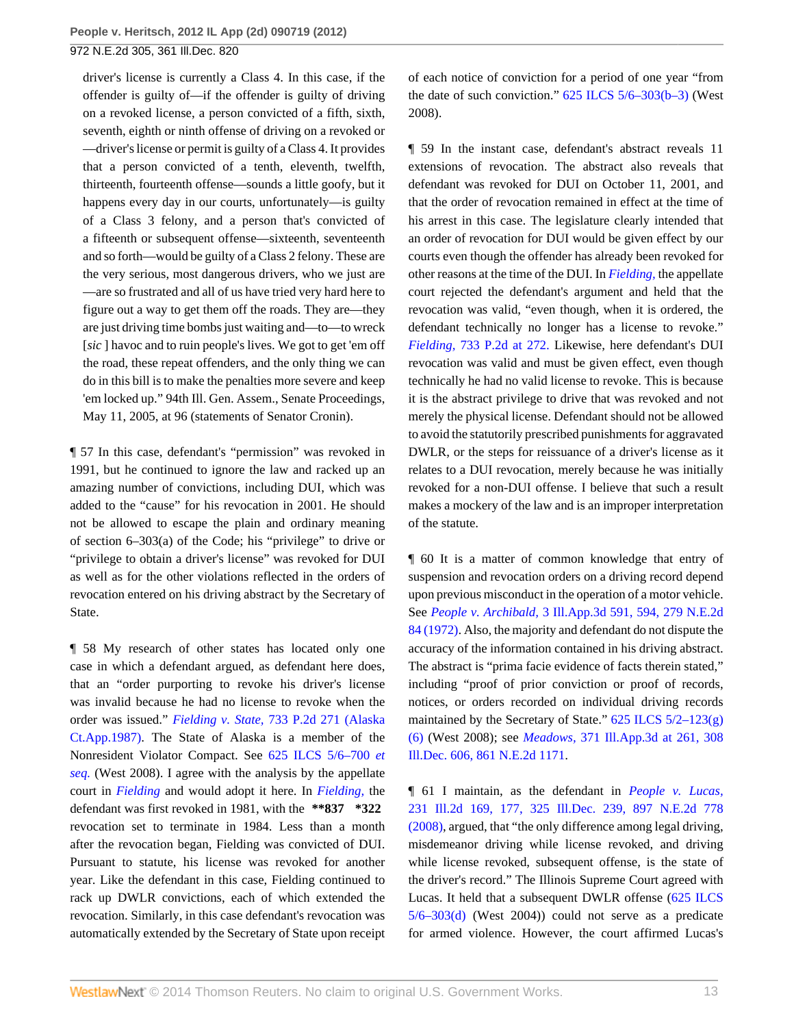driver's license is currently a Class 4. In this case, if the offender is guilty of—if the offender is guilty of driving on a revoked license, a person convicted of a fifth, sixth, seventh, eighth or ninth offense of driving on a revoked or —driver's license or permit is guilty of a Class 4. It provides that a person convicted of a tenth, eleventh, twelfth, thirteenth, fourteenth offense—sounds a little goofy, but it happens every day in our courts, unfortunately—is guilty of a Class 3 felony, and a person that's convicted of a fifteenth or subsequent offense—sixteenth, seventeenth and so forth—would be guilty of a Class 2 felony. These are the very serious, most dangerous drivers, who we just are —are so frustrated and all of us have tried very hard here to figure out a way to get them off the roads. They are—they are just driving time bombs just waiting and—to—to wreck [*sic* ] havoc and to ruin people's lives. We got to get 'em off the road, these repeat offenders, and the only thing we can do in this bill is to make the penalties more severe and keep 'em locked up." 94th Ill. Gen. Assem., Senate Proceedings, May 11, 2005, at 96 (statements of Senator Cronin).

¶ 57 In this case, defendant's "permission" was revoked in 1991, but he continued to ignore the law and racked up an amazing number of convictions, including DUI, which was added to the "cause" for his revocation in 2001. He should not be allowed to escape the plain and ordinary meaning of section 6–303(a) of the Code; his "privilege" to drive or "privilege to obtain a driver's license" was revoked for DUI as well as for the other violations reflected in the orders of revocation entered on his driving abstract by the Secretary of State.

¶ 58 My research of other states has located only one case in which a defendant argued, as defendant here does, that an "order purporting to revoke his driver's license was invalid because he had no license to revoke when the order was issued." *Fielding v. State,* [733 P.2d 271 \(Alaska](http://www.westlaw.com/Link/Document/FullText?findType=Y&serNum=1987025438&pubNum=661&originationContext=document&vr=3.0&rs=cblt1.0&transitionType=DocumentItem&contextData=(sc.Search)) [Ct.App.1987\)](http://www.westlaw.com/Link/Document/FullText?findType=Y&serNum=1987025438&pubNum=661&originationContext=document&vr=3.0&rs=cblt1.0&transitionType=DocumentItem&contextData=(sc.Search)). The State of Alaska is a member of the Nonresident Violator Compact. See [625 ILCS 5/6–700](http://www.westlaw.com/Link/Document/FullText?findType=L&pubNum=1000008&cite=IL625S5%2f6-700&originatingDoc=Ic41d5236c29f11e1b60ab297d3d07bc5&refType=LQ&originationContext=document&vr=3.0&rs=cblt1.0&transitionType=DocumentItem&contextData=(sc.Search)) *et [seq.](http://www.westlaw.com/Link/Document/FullText?findType=L&pubNum=1000008&cite=IL625S5%2f6-700&originatingDoc=Ic41d5236c29f11e1b60ab297d3d07bc5&refType=LQ&originationContext=document&vr=3.0&rs=cblt1.0&transitionType=DocumentItem&contextData=(sc.Search))* (West 2008). I agree with the analysis by the appellate court in *[Fielding](http://www.westlaw.com/Link/Document/FullText?findType=Y&serNum=1987025438&originationContext=document&vr=3.0&rs=cblt1.0&transitionType=DocumentItem&contextData=(sc.Search))* and would adopt it here. In *[Fielding,](http://www.westlaw.com/Link/Document/FullText?findType=Y&serNum=1987025438&originationContext=document&vr=3.0&rs=cblt1.0&transitionType=DocumentItem&contextData=(sc.Search))* the defendant was first revoked in 1981, with the **\*\*837 \*322** revocation set to terminate in 1984. Less than a month after the revocation began, Fielding was convicted of DUI. Pursuant to statute, his license was revoked for another year. Like the defendant in this case, Fielding continued to rack up DWLR convictions, each of which extended the revocation. Similarly, in this case defendant's revocation was automatically extended by the Secretary of State upon receipt

of each notice of conviction for a period of one year "from the date of such conviction." [625 ILCS 5/6–303\(b–3\)](http://www.westlaw.com/Link/Document/FullText?findType=L&pubNum=1000008&cite=IL625S5%2f6-303&originatingDoc=Ic41d5236c29f11e1b60ab297d3d07bc5&refType=SP&originationContext=document&vr=3.0&rs=cblt1.0&transitionType=DocumentItem&contextData=(sc.Search)#co_pp_b14d000096874) (West 2008).

¶ 59 In the instant case, defendant's abstract reveals 11 extensions of revocation. The abstract also reveals that defendant was revoked for DUI on October 11, 2001, and that the order of revocation remained in effect at the time of his arrest in this case. The legislature clearly intended that an order of revocation for DUI would be given effect by our courts even though the offender has already been revoked for other reasons at the time of the DUI. In *[Fielding,](http://www.westlaw.com/Link/Document/FullText?findType=Y&serNum=1987025438&originationContext=document&vr=3.0&rs=cblt1.0&transitionType=DocumentItem&contextData=(sc.Search))* the appellate court rejected the defendant's argument and held that the revocation was valid, "even though, when it is ordered, the defendant technically no longer has a license to revoke." *Fielding,* [733 P.2d at 272.](http://www.westlaw.com/Link/Document/FullText?findType=Y&serNum=1987025438&pubNum=661&fi=co_pp_sp_661_272&originationContext=document&vr=3.0&rs=cblt1.0&transitionType=DocumentItem&contextData=(sc.Search)#co_pp_sp_661_272) Likewise, here defendant's DUI revocation was valid and must be given effect, even though technically he had no valid license to revoke. This is because it is the abstract privilege to drive that was revoked and not merely the physical license. Defendant should not be allowed to avoid the statutorily prescribed punishments for aggravated DWLR, or the steps for reissuance of a driver's license as it relates to a DUI revocation, merely because he was initially revoked for a non-DUI offense. I believe that such a result makes a mockery of the law and is an improper interpretation of the statute.

¶ 60 It is a matter of common knowledge that entry of suspension and revocation orders on a driving record depend upon previous misconduct in the operation of a motor vehicle. See *People v. Archibald,* [3 Ill.App.3d 591, 594, 279 N.E.2d](http://www.westlaw.com/Link/Document/FullText?findType=Y&serNum=1972113868&pubNum=578&originationContext=document&vr=3.0&rs=cblt1.0&transitionType=DocumentItem&contextData=(sc.Search)) [84 \(1972\).](http://www.westlaw.com/Link/Document/FullText?findType=Y&serNum=1972113868&pubNum=578&originationContext=document&vr=3.0&rs=cblt1.0&transitionType=DocumentItem&contextData=(sc.Search)) Also, the majority and defendant do not dispute the accuracy of the information contained in his driving abstract. The abstract is "prima facie evidence of facts therein stated," including "proof of prior conviction or proof of records, notices, or orders recorded on individual driving records maintained by the Secretary of State."  $625$  ILCS  $5/2-123(g)$ [\(6\)](http://www.westlaw.com/Link/Document/FullText?findType=L&pubNum=1000008&cite=IL625S5%2f2-123&originatingDoc=Ic41d5236c29f11e1b60ab297d3d07bc5&refType=SP&originationContext=document&vr=3.0&rs=cblt1.0&transitionType=DocumentItem&contextData=(sc.Search)#co_pp_16f4000091d86) (West 2008); see *Meadows,* [371 Ill.App.3d at 261, 308](http://www.westlaw.com/Link/Document/FullText?findType=Y&serNum=2011371784&pubNum=578&originationContext=document&vr=3.0&rs=cblt1.0&transitionType=DocumentItem&contextData=(sc.Search)) [Ill.Dec. 606, 861 N.E.2d 1171.](http://www.westlaw.com/Link/Document/FullText?findType=Y&serNum=2011371784&pubNum=578&originationContext=document&vr=3.0&rs=cblt1.0&transitionType=DocumentItem&contextData=(sc.Search))

¶ 61 I maintain, as the defendant in *[People v. Lucas,](http://www.westlaw.com/Link/Document/FullText?findType=Y&serNum=2017296301&pubNum=578&originationContext=document&vr=3.0&rs=cblt1.0&transitionType=DocumentItem&contextData=(sc.Search))* [231 Ill.2d 169, 177, 325 Ill.Dec. 239, 897 N.E.2d 778](http://www.westlaw.com/Link/Document/FullText?findType=Y&serNum=2017296301&pubNum=578&originationContext=document&vr=3.0&rs=cblt1.0&transitionType=DocumentItem&contextData=(sc.Search)) [\(2008\),](http://www.westlaw.com/Link/Document/FullText?findType=Y&serNum=2017296301&pubNum=578&originationContext=document&vr=3.0&rs=cblt1.0&transitionType=DocumentItem&contextData=(sc.Search)) argued, that "the only difference among legal driving, misdemeanor driving while license revoked, and driving while license revoked, subsequent offense, is the state of the driver's record." The Illinois Supreme Court agreed with Lucas. It held that a subsequent DWLR offense ([625 ILCS](http://www.westlaw.com/Link/Document/FullText?findType=L&pubNum=1000008&cite=IL625S5%2f6-303&originatingDoc=Ic41d5236c29f11e1b60ab297d3d07bc5&refType=SP&originationContext=document&vr=3.0&rs=cblt1.0&transitionType=DocumentItem&contextData=(sc.Search)#co_pp_5ba1000067d06)  $5/6 - 303(d)$  (West 2004)) could not serve as a predicate for armed violence. However, the court affirmed Lucas's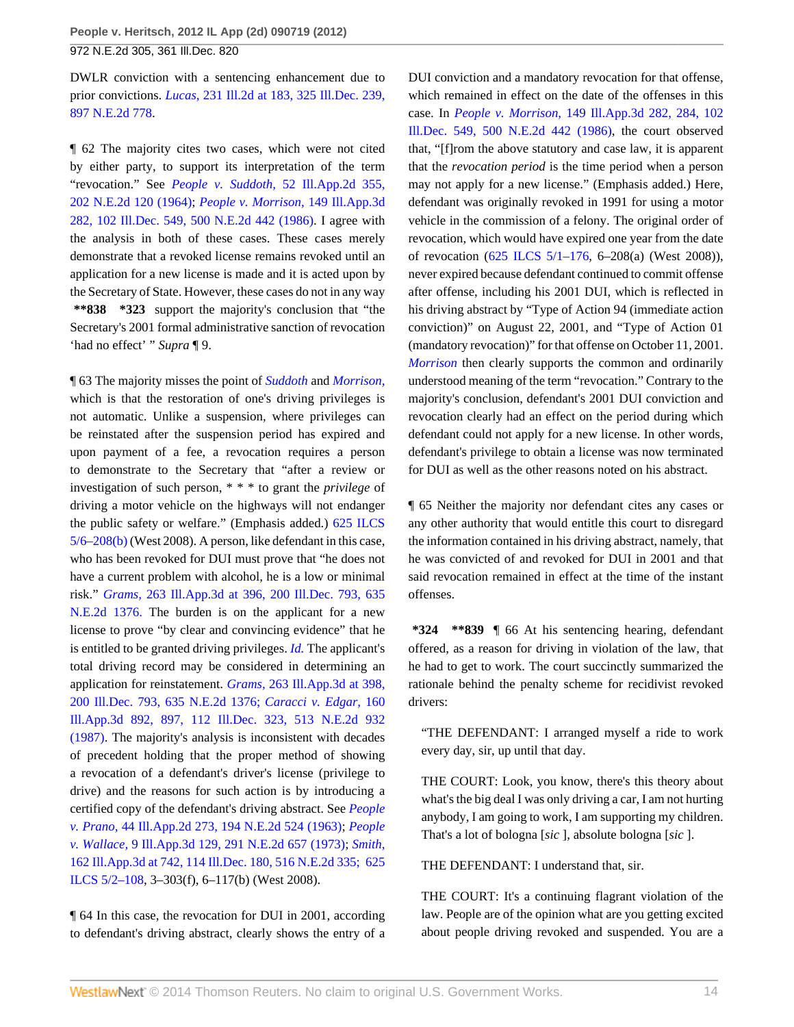DWLR conviction with a sentencing enhancement due to prior convictions. *Lucas,* [231 Ill.2d at 183, 325 Ill.Dec. 239,](http://www.westlaw.com/Link/Document/FullText?findType=Y&serNum=2017296301&pubNum=578&originationContext=document&vr=3.0&rs=cblt1.0&transitionType=DocumentItem&contextData=(sc.Search)) [897 N.E.2d 778](http://www.westlaw.com/Link/Document/FullText?findType=Y&serNum=2017296301&pubNum=578&originationContext=document&vr=3.0&rs=cblt1.0&transitionType=DocumentItem&contextData=(sc.Search)).

¶ 62 The majority cites two cases, which were not cited by either party, to support its interpretation of the term "revocation." See *People v. Suddoth,* [52 Ill.App.2d 355,](http://www.westlaw.com/Link/Document/FullText?findType=Y&serNum=1964117763&pubNum=578&originationContext=document&vr=3.0&rs=cblt1.0&transitionType=DocumentItem&contextData=(sc.Search)) [202 N.E.2d 120 \(1964\)](http://www.westlaw.com/Link/Document/FullText?findType=Y&serNum=1964117763&pubNum=578&originationContext=document&vr=3.0&rs=cblt1.0&transitionType=DocumentItem&contextData=(sc.Search)); *[People v. Morrison,](http://www.westlaw.com/Link/Document/FullText?findType=Y&serNum=1986156780&pubNum=578&originationContext=document&vr=3.0&rs=cblt1.0&transitionType=DocumentItem&contextData=(sc.Search))* 149 Ill.App.3d [282, 102 Ill.Dec. 549, 500 N.E.2d 442 \(1986\).](http://www.westlaw.com/Link/Document/FullText?findType=Y&serNum=1986156780&pubNum=578&originationContext=document&vr=3.0&rs=cblt1.0&transitionType=DocumentItem&contextData=(sc.Search)) I agree with the analysis in both of these cases. These cases merely demonstrate that a revoked license remains revoked until an application for a new license is made and it is acted upon by the Secretary of State. However, these cases do not in any way **\*\*838 \*323** support the majority's conclusion that "the Secretary's 2001 formal administrative sanction of revocation 'had no effect' " *Supra* ¶ 9.

¶ 63 The majority misses the point of *[Suddoth](http://www.westlaw.com/Link/Document/FullText?findType=Y&serNum=1964117763&originationContext=document&vr=3.0&rs=cblt1.0&transitionType=DocumentItem&contextData=(sc.Search))* and *[Morrison,](http://www.westlaw.com/Link/Document/FullText?findType=Y&serNum=1986156780&originationContext=document&vr=3.0&rs=cblt1.0&transitionType=DocumentItem&contextData=(sc.Search))* which is that the restoration of one's driving privileges is not automatic. Unlike a suspension, where privileges can be reinstated after the suspension period has expired and upon payment of a fee, a revocation requires a person to demonstrate to the Secretary that "after a review or investigation of such person, \* \* \* to grant the *privilege* of driving a motor vehicle on the highways will not endanger the public safety or welfare." (Emphasis added.) [625 ILCS](http://www.westlaw.com/Link/Document/FullText?findType=L&pubNum=1000008&cite=IL625S5%2f6-208&originatingDoc=Ic41d5236c29f11e1b60ab297d3d07bc5&refType=SP&originationContext=document&vr=3.0&rs=cblt1.0&transitionType=DocumentItem&contextData=(sc.Search)#co_pp_a83b000018c76) [5/6–208\(b\)](http://www.westlaw.com/Link/Document/FullText?findType=L&pubNum=1000008&cite=IL625S5%2f6-208&originatingDoc=Ic41d5236c29f11e1b60ab297d3d07bc5&refType=SP&originationContext=document&vr=3.0&rs=cblt1.0&transitionType=DocumentItem&contextData=(sc.Search)#co_pp_a83b000018c76) (West 2008). A person, like defendant in this case, who has been revoked for DUI must prove that "he does not have a current problem with alcohol, he is a low or minimal risk." *Grams,* [263 Ill.App.3d at 396, 200 Ill.Dec. 793, 635](http://www.westlaw.com/Link/Document/FullText?findType=Y&serNum=1994136139&pubNum=578&originationContext=document&vr=3.0&rs=cblt1.0&transitionType=DocumentItem&contextData=(sc.Search)) [N.E.2d 1376.](http://www.westlaw.com/Link/Document/FullText?findType=Y&serNum=1994136139&pubNum=578&originationContext=document&vr=3.0&rs=cblt1.0&transitionType=DocumentItem&contextData=(sc.Search)) The burden is on the applicant for a new license to prove "by clear and convincing evidence" that he is entitled to be granted driving privileges. *[Id.](http://www.westlaw.com/Link/Document/FullText?findType=Y&serNum=1994136139&originationContext=document&vr=3.0&rs=cblt1.0&transitionType=DocumentItem&contextData=(sc.Search))* The applicant's total driving record may be considered in determining an application for reinstatement. *Grams,* [263 Ill.App.3d at 398,](http://www.westlaw.com/Link/Document/FullText?findType=Y&serNum=1994136139&pubNum=578&originationContext=document&vr=3.0&rs=cblt1.0&transitionType=DocumentItem&contextData=(sc.Search)) [200 Ill.Dec. 793, 635 N.E.2d 1376;](http://www.westlaw.com/Link/Document/FullText?findType=Y&serNum=1994136139&pubNum=578&originationContext=document&vr=3.0&rs=cblt1.0&transitionType=DocumentItem&contextData=(sc.Search)) *[Caracci v. Edgar,](http://www.westlaw.com/Link/Document/FullText?findType=Y&serNum=1987108831&pubNum=578&originationContext=document&vr=3.0&rs=cblt1.0&transitionType=DocumentItem&contextData=(sc.Search))* 160 [Ill.App.3d 892, 897, 112 Ill.Dec. 323, 513 N.E.2d 932](http://www.westlaw.com/Link/Document/FullText?findType=Y&serNum=1987108831&pubNum=578&originationContext=document&vr=3.0&rs=cblt1.0&transitionType=DocumentItem&contextData=(sc.Search)) [\(1987\).](http://www.westlaw.com/Link/Document/FullText?findType=Y&serNum=1987108831&pubNum=578&originationContext=document&vr=3.0&rs=cblt1.0&transitionType=DocumentItem&contextData=(sc.Search)) The majority's analysis is inconsistent with decades of precedent holding that the proper method of showing a revocation of a defendant's driver's license (privilege to drive) and the reasons for such action is by introducing a certified copy of the defendant's driving abstract. See *[People](http://www.westlaw.com/Link/Document/FullText?findType=Y&serNum=1963118370&pubNum=578&originationContext=document&vr=3.0&rs=cblt1.0&transitionType=DocumentItem&contextData=(sc.Search)) v. Prano,* [44 Ill.App.2d 273, 194 N.E.2d 524 \(1963\);](http://www.westlaw.com/Link/Document/FullText?findType=Y&serNum=1963118370&pubNum=578&originationContext=document&vr=3.0&rs=cblt1.0&transitionType=DocumentItem&contextData=(sc.Search)) *[People](http://www.westlaw.com/Link/Document/FullText?findType=Y&serNum=1973112977&pubNum=578&originationContext=document&vr=3.0&rs=cblt1.0&transitionType=DocumentItem&contextData=(sc.Search)) v. Wallace,* [9 Ill.App.3d 129, 291 N.E.2d 657 \(1973\)](http://www.westlaw.com/Link/Document/FullText?findType=Y&serNum=1973112977&pubNum=578&originationContext=document&vr=3.0&rs=cblt1.0&transitionType=DocumentItem&contextData=(sc.Search)); *[Smith,](http://www.westlaw.com/Link/Document/FullText?findType=Y&serNum=1987123509&pubNum=578&originationContext=document&vr=3.0&rs=cblt1.0&transitionType=DocumentItem&contextData=(sc.Search))* [162 Ill.App.3d at 742, 114 Ill.Dec. 180, 516 N.E.2d 335;](http://www.westlaw.com/Link/Document/FullText?findType=Y&serNum=1987123509&pubNum=578&originationContext=document&vr=3.0&rs=cblt1.0&transitionType=DocumentItem&contextData=(sc.Search)) [625](http://www.westlaw.com/Link/Document/FullText?findType=L&pubNum=1000008&cite=IL625S5%2f2-108&originatingDoc=Ic41d5236c29f11e1b60ab297d3d07bc5&refType=LQ&originationContext=document&vr=3.0&rs=cblt1.0&transitionType=DocumentItem&contextData=(sc.Search)) [ILCS 5/2–108,](http://www.westlaw.com/Link/Document/FullText?findType=L&pubNum=1000008&cite=IL625S5%2f2-108&originatingDoc=Ic41d5236c29f11e1b60ab297d3d07bc5&refType=LQ&originationContext=document&vr=3.0&rs=cblt1.0&transitionType=DocumentItem&contextData=(sc.Search)) 3–303(f), 6–117(b) (West 2008).

¶ 64 In this case, the revocation for DUI in 2001, according to defendant's driving abstract, clearly shows the entry of a DUI conviction and a mandatory revocation for that offense, which remained in effect on the date of the offenses in this case. In *People v. Morrison,* [149 Ill.App.3d 282, 284, 102](http://www.westlaw.com/Link/Document/FullText?findType=Y&serNum=1986156780&pubNum=578&originationContext=document&vr=3.0&rs=cblt1.0&transitionType=DocumentItem&contextData=(sc.Search)) [Ill.Dec. 549, 500 N.E.2d 442 \(1986\),](http://www.westlaw.com/Link/Document/FullText?findType=Y&serNum=1986156780&pubNum=578&originationContext=document&vr=3.0&rs=cblt1.0&transitionType=DocumentItem&contextData=(sc.Search)) the court observed that, "[f]rom the above statutory and case law, it is apparent that the *revocation period* is the time period when a person may not apply for a new license." (Emphasis added.) Here, defendant was originally revoked in 1991 for using a motor vehicle in the commission of a felony. The original order of revocation, which would have expired one year from the date of revocation ([625 ILCS 5/1–176](http://www.westlaw.com/Link/Document/FullText?findType=L&pubNum=1000008&cite=IL625S5%2f1-176&originatingDoc=Ic41d5236c29f11e1b60ab297d3d07bc5&refType=LQ&originationContext=document&vr=3.0&rs=cblt1.0&transitionType=DocumentItem&contextData=(sc.Search)), 6–208(a) (West 2008)), never expired because defendant continued to commit offense after offense, including his 2001 DUI, which is reflected in his driving abstract by "Type of Action 94 (immediate action conviction)" on August 22, 2001, and "Type of Action 01 (mandatory revocation)" for that offense on October 11, 2001. *[Morrison](http://www.westlaw.com/Link/Document/FullText?findType=Y&serNum=1986156780&originationContext=document&vr=3.0&rs=cblt1.0&transitionType=DocumentItem&contextData=(sc.Search))* then clearly supports the common and ordinarily understood meaning of the term "revocation." Contrary to the majority's conclusion, defendant's 2001 DUI conviction and revocation clearly had an effect on the period during which defendant could not apply for a new license. In other words, defendant's privilege to obtain a license was now terminated for DUI as well as the other reasons noted on his abstract.

¶ 65 Neither the majority nor defendant cites any cases or any other authority that would entitle this court to disregard the information contained in his driving abstract, namely, that he was convicted of and revoked for DUI in 2001 and that said revocation remained in effect at the time of the instant offenses.

**\*324 \*\*839** ¶ 66 At his sentencing hearing, defendant offered, as a reason for driving in violation of the law, that he had to get to work. The court succinctly summarized the rationale behind the penalty scheme for recidivist revoked drivers:

"THE DEFENDANT: I arranged myself a ride to work every day, sir, up until that day.

THE COURT: Look, you know, there's this theory about what's the big deal I was only driving a car, I am not hurting anybody, I am going to work, I am supporting my children. That's a lot of bologna [*sic* ], absolute bologna [*sic* ].

THE DEFENDANT: I understand that, sir.

THE COURT: It's a continuing flagrant violation of the law. People are of the opinion what are you getting excited about people driving revoked and suspended. You are a